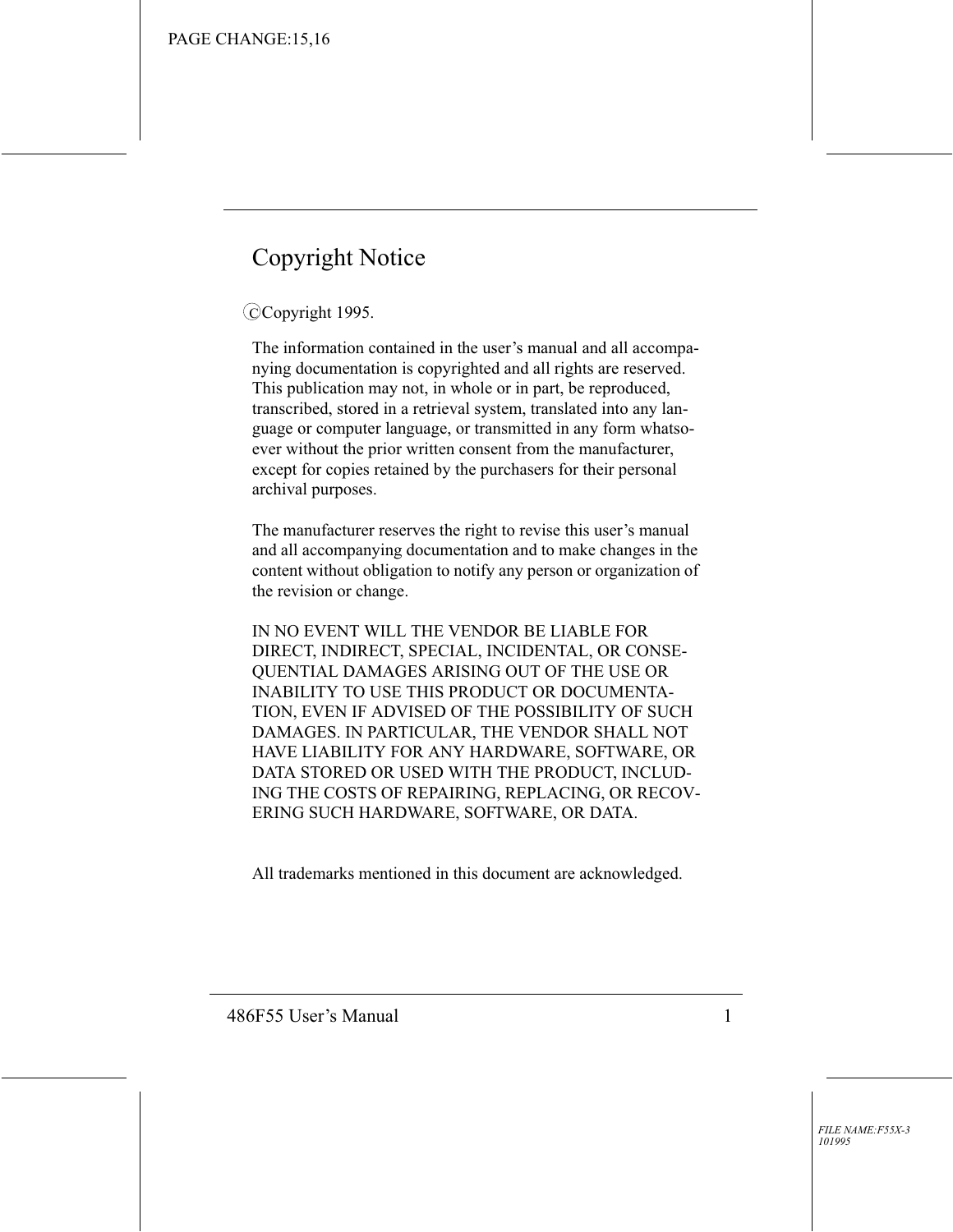## **Copyright Notice**

#### CCopyright 1995.

The information contained in the user's manual and all accompanying documentation is copyrighted and all rights are reserved. This publication may not, in whole or in part, be reproduced, transcribed, stored in a retrieval system, translated into any language or computer language, or transmitted in any form whatsoever without the prior written consent from the manufacturer, except for copies retained by the purchasers for their personal archival purposes.

The manufacturer reserves the right to revise this user's manual and all accompanying documentation and to make changes in the content without obligation to notify any person or organization of the revision or change.

IN NO EVENT WILL THE VENDOR BE LIABLE FOR DIRECT, INDIRECT, SPECIAL, INCIDENTAL, OR CONSE-QUENTIAL DAMAGES ARISING OUT OF THE USE OR **INABILITY TO USE THIS PRODUCT OR DOCUMENTA-**TION, EVEN IF ADVISED OF THE POSSIBILITY OF SUCH DAMAGES. IN PARTICULAR, THE VENDOR SHALL NOT HAVE LIABILITY FOR ANY HARDWARE, SOFTWARE, OR DATA STORED OR USED WITH THE PRODUCT, INCLUD-ING THE COSTS OF REPAIRING, REPLACING, OR RECOV-ERING SUCH HARDWARE, SOFTWARE, OR DATA.

All trademarks mentioned in this document are acknowledged.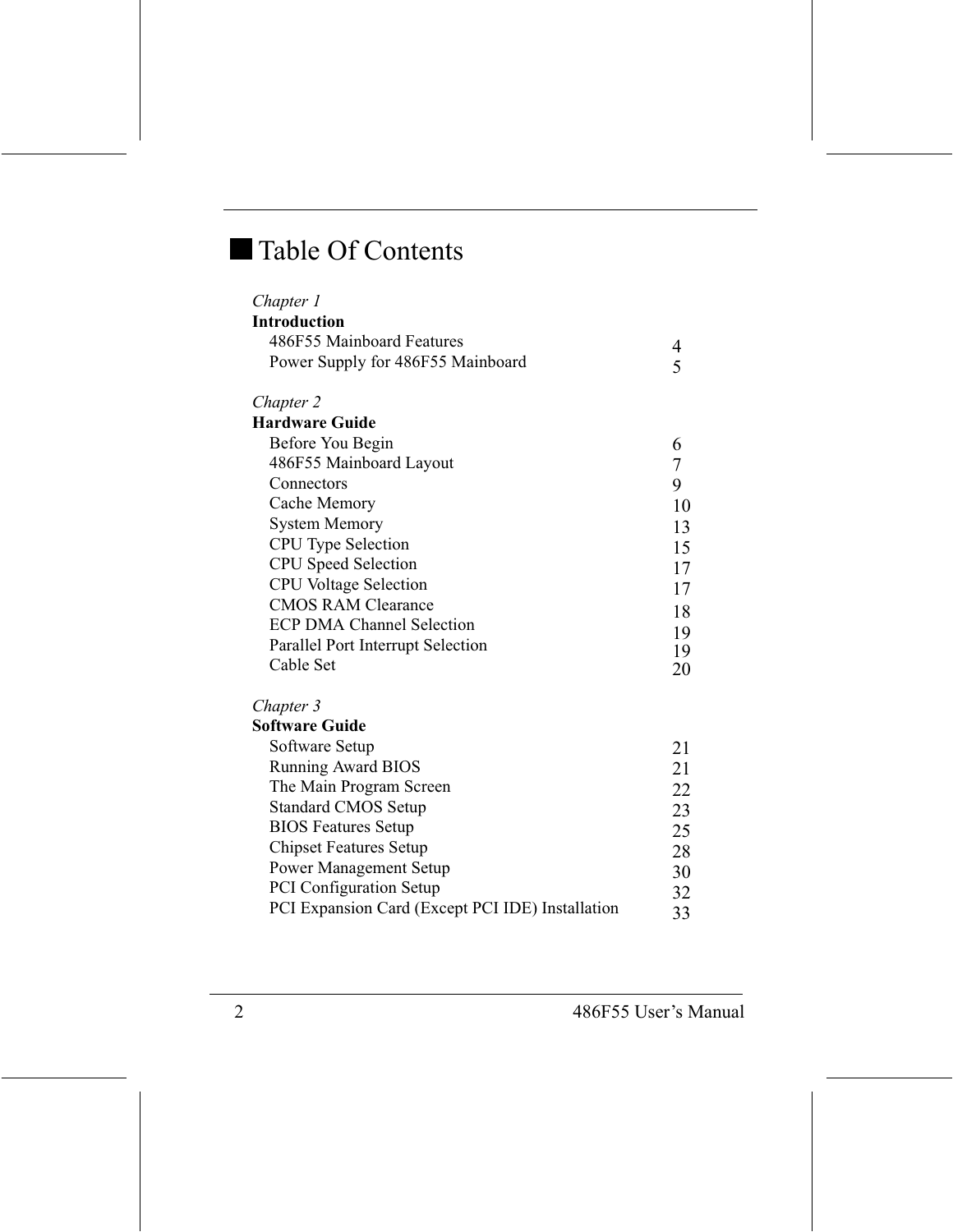## Table Of Contents

| Chapter 1                                        |    |
|--------------------------------------------------|----|
| <b>Introduction</b>                              |    |
| 486F55 Mainboard Features                        | 4  |
| Power Supply for 486F55 Mainboard                | 5  |
| Chapter 2                                        |    |
| <b>Hardware Guide</b>                            |    |
| Before You Begin                                 | 6  |
| 486F55 Mainboard Layout                          | 7  |
| Connectors                                       | 9  |
| Cache Memory                                     | 10 |
| <b>System Memory</b>                             | 13 |
| CPU Type Selection                               | 15 |
| <b>CPU</b> Speed Selection                       | 17 |
| <b>CPU</b> Voltage Selection                     | 17 |
| <b>CMOS RAM Clearance</b>                        | 18 |
| <b>ECP DMA Channel Selection</b>                 | 19 |
| Parallel Port Interrupt Selection                | 19 |
| Cable Set                                        | 20 |
| Chapter 3                                        |    |
| <b>Software Guide</b>                            |    |
| Software Setup                                   | 21 |
| <b>Running Award BIOS</b>                        | 21 |
| The Main Program Screen                          | 22 |
| <b>Standard CMOS Setup</b>                       | 23 |
| <b>BIOS Features Setup</b>                       | 25 |
| <b>Chipset Features Setup</b>                    | 28 |
| <b>Power Management Setup</b>                    | 30 |
| PCI Configuration Setup                          | 32 |
| PCI Expansion Card (Except PCI IDE) Installation | 33 |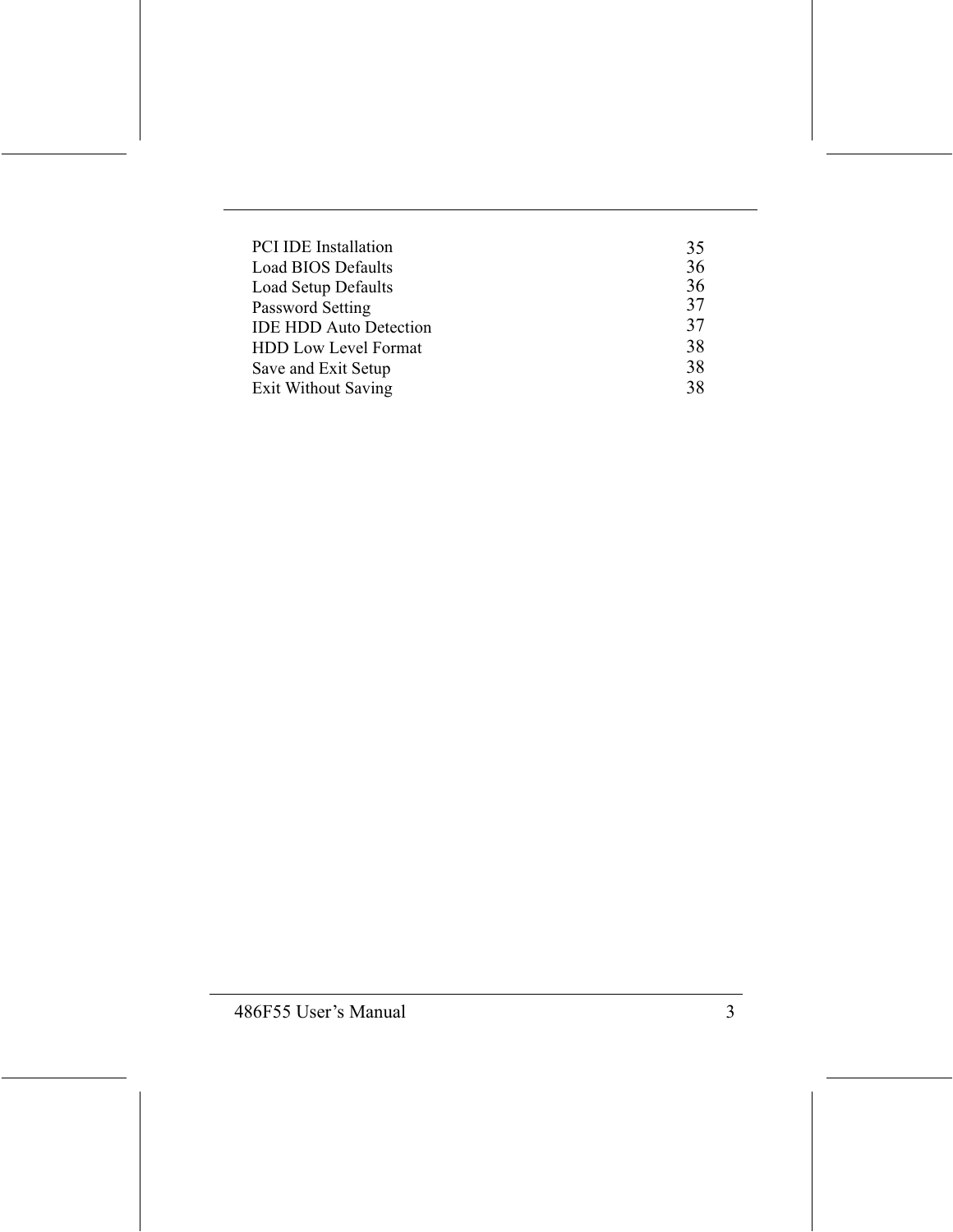| <b>PCI IDE Installation</b>   | 35 |
|-------------------------------|----|
| <b>Load BIOS Defaults</b>     | 36 |
| Load Setup Defaults           | 36 |
| Password Setting              | 37 |
| <b>IDE HDD Auto Detection</b> | 37 |
| <b>HDD Low Level Format</b>   | 38 |
| Save and Exit Setup           | 38 |
| <b>Exit Without Saving</b>    | 38 |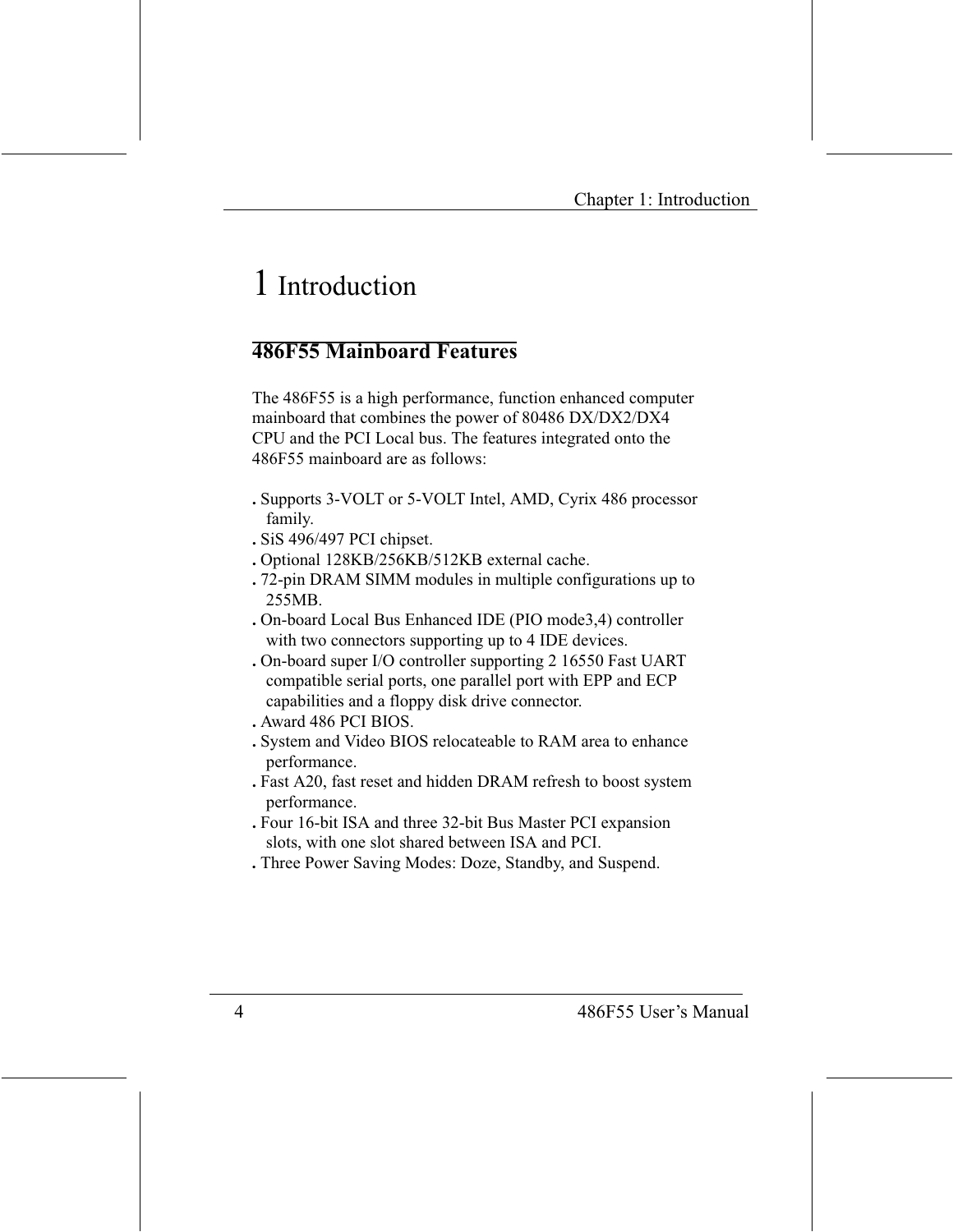## 1 Introduction

#### **486F55 Mainhoard Features**

The 486F55 is a high performance, function enhanced computer mainboard that combines the power of 80486 DX/DX2/DX4 CPU and the PCI Local bus. The features integrated onto the 486F55 mainboard are as follows:

- . Supports 3-VOLT or 5-VOLT Intel, AMD, Cyrix 486 processor family.
- . SiS 496/497 PCI chipset.
- . Optional 128KB/256KB/512KB external cache.
- .72-pin DRAM SIMM modules in multiple configurations up to 255MB.
- . On-board Local Bus Enhanced IDE (PIO mode3,4) controller with two connectors supporting up to 4 IDE devices.
- . On-board super I/O controller supporting 2 16550 Fast UART compatible serial ports, one parallel port with EPP and ECP capabilities and a floppy disk drive connector.
- . Award 486 PCI BIOS.
- . System and Video BIOS relocateable to RAM area to enhance performance.
- . Fast A20, fast reset and hidden DRAM refresh to boost system performance.
- . Four 16-bit ISA and three 32-bit Bus Master PCI expansion slots, with one slot shared between ISA and PCI.
- . Three Power Saving Modes: Doze, Standby, and Suspend.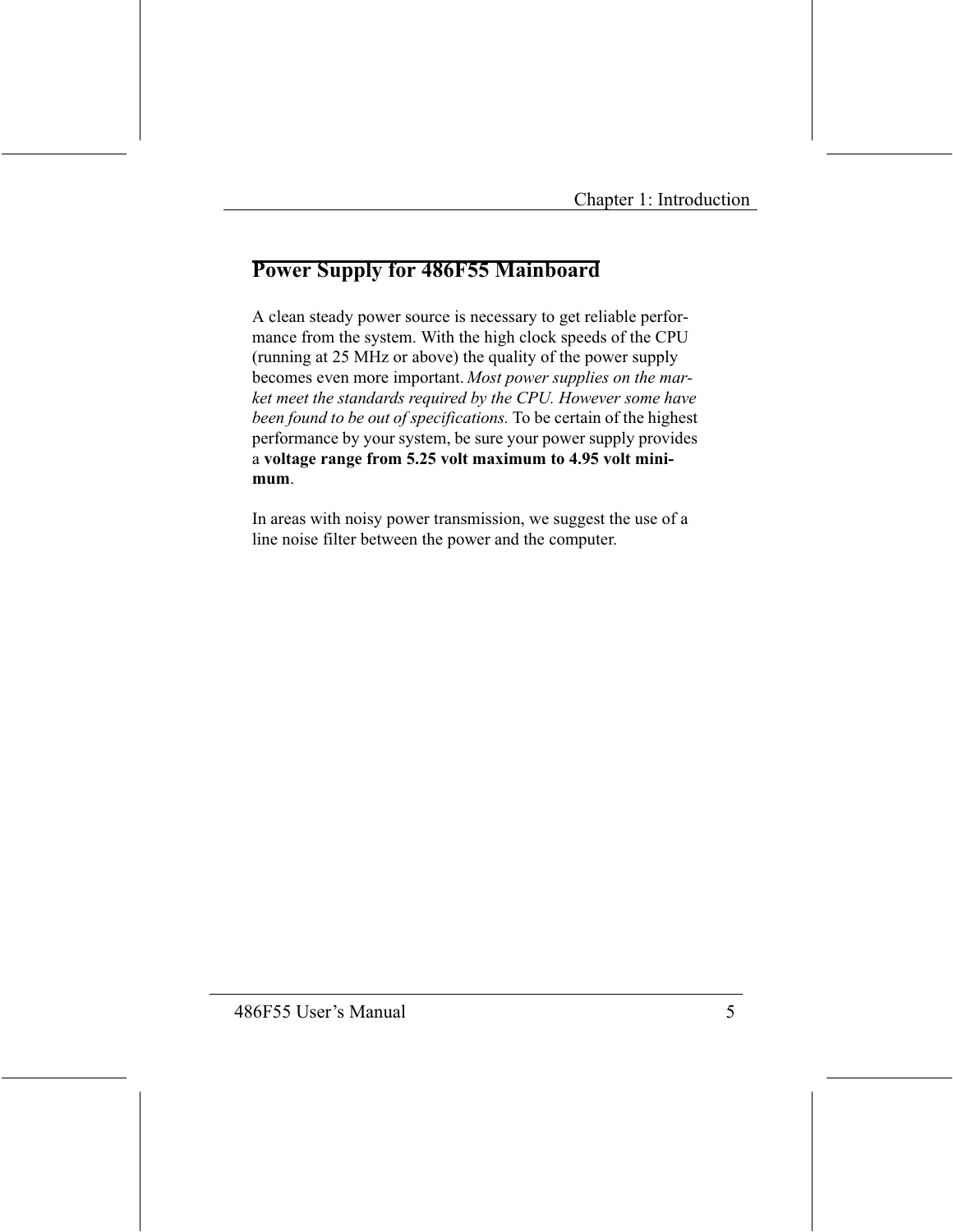## **Power Supply for 486F55 Mainboard**

A clean steady power source is necessary to get reliable performance from the system. With the high clock speeds of the CPU (running at 25 MHz or above) the quality of the power supply becomes even more important. Most power supplies on the market meet the standards required by the CPU. However some have been found to be out of specifications. To be certain of the highest performance by your system, be sure your power supply provides a voltage range from 5.25 volt maximum to 4.95 volt minimum.

In areas with noisy power transmission, we suggest the use of a line noise filter between the power and the computer.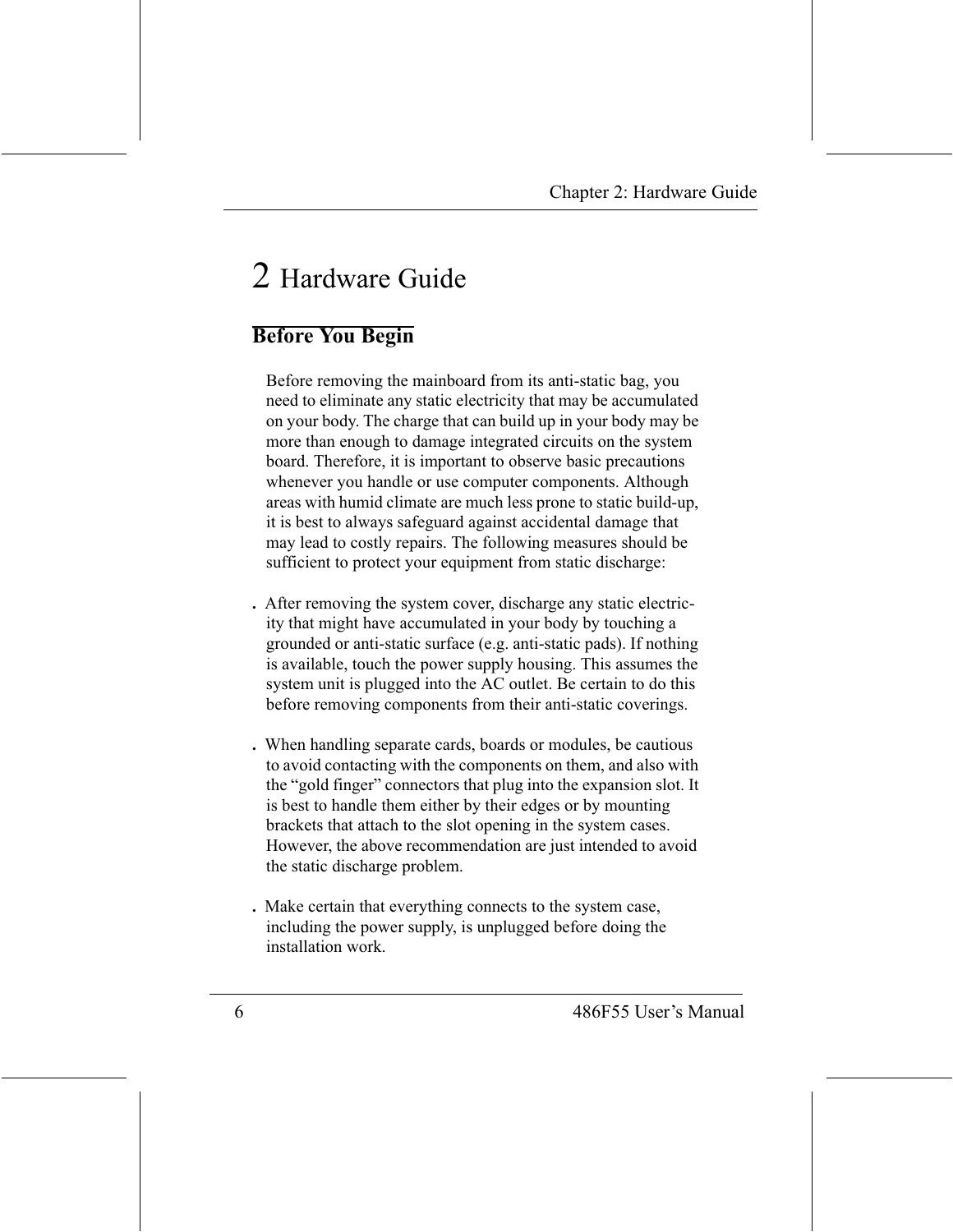# 2 Hardware Guide

## **Before You Begin**

Before removing the mainboard from its anti-static bag, you need to eliminate any static electricity that may be accumulated on your body. The charge that can build up in your body may be more than enough to damage integrated circuits on the system board. Therefore, it is important to observe basic precautions whenever you handle or use computer components. Although areas with humid climate are much less prone to static build-up, it is best to always safeguard against accidental damage that may lead to costly repairs. The following measures should be sufficient to protect your equipment from static discharge:

- . After removing the system cover, discharge any static electricity that might have accumulated in your body by touching a grounded or anti-static surface (e.g. anti-static pads). If nothing is available, touch the power supply housing. This assumes the system unit is plugged into the AC outlet. Be certain to do this before removing components from their anti-static coverings.
- . When handling separate cards, boards or modules, be cautious to avoid contacting with the components on them, and also with the "gold finger" connectors that plug into the expansion slot. It is best to handle them either by their edges or by mounting brackets that attach to the slot opening in the system cases. However, the above recommendation are just intended to avoid the static discharge problem.
- . Make certain that everything connects to the system case, including the power supply, is unplugged before doing the installation work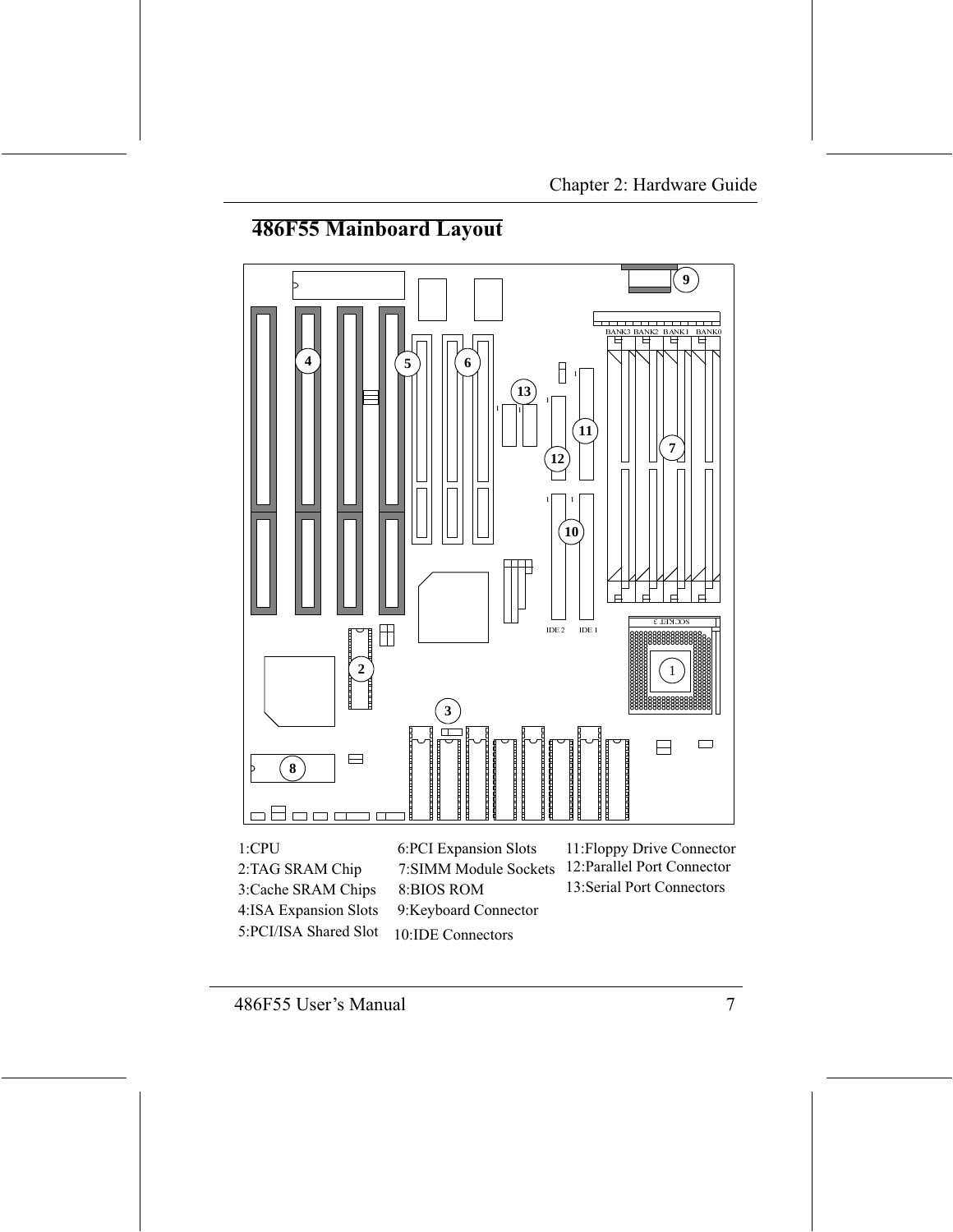#### **486F55 Mainboard Layout**



8:BIOS ROM

9:Keyboard Connector

10:IDE Connectors

13: Serial Port Connectors

3:Cache SRAM Chips

4:ISA Expansion Slots

5:PCI/ISA Shared Slot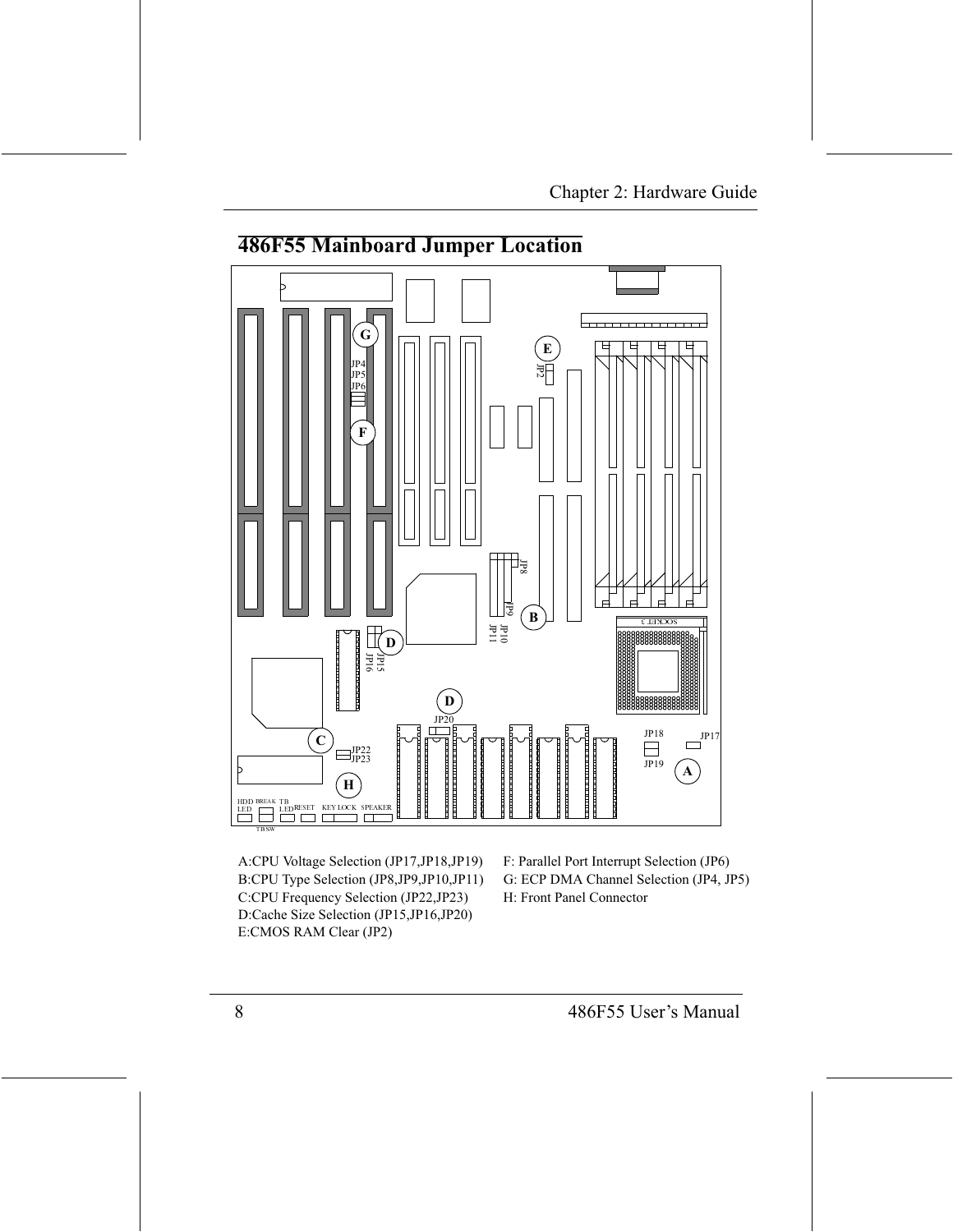#### **486F55 Mainboard Jumper Location**



A:CPU Voltage Selection (JP17, JP18, JP19) B:CPU Type Selection (JP8,JP9,JP10,JP11) C:CPU Frequency Selection (JP22,JP23) D:Cache Size Selection (JP15,JP16,JP20) E:CMOS RAM Clear (JP2)

F: Parallel Port Interrupt Selection (JP6) G: ECP DMA Channel Selection (JP4, JP5) H: Front Panel Connector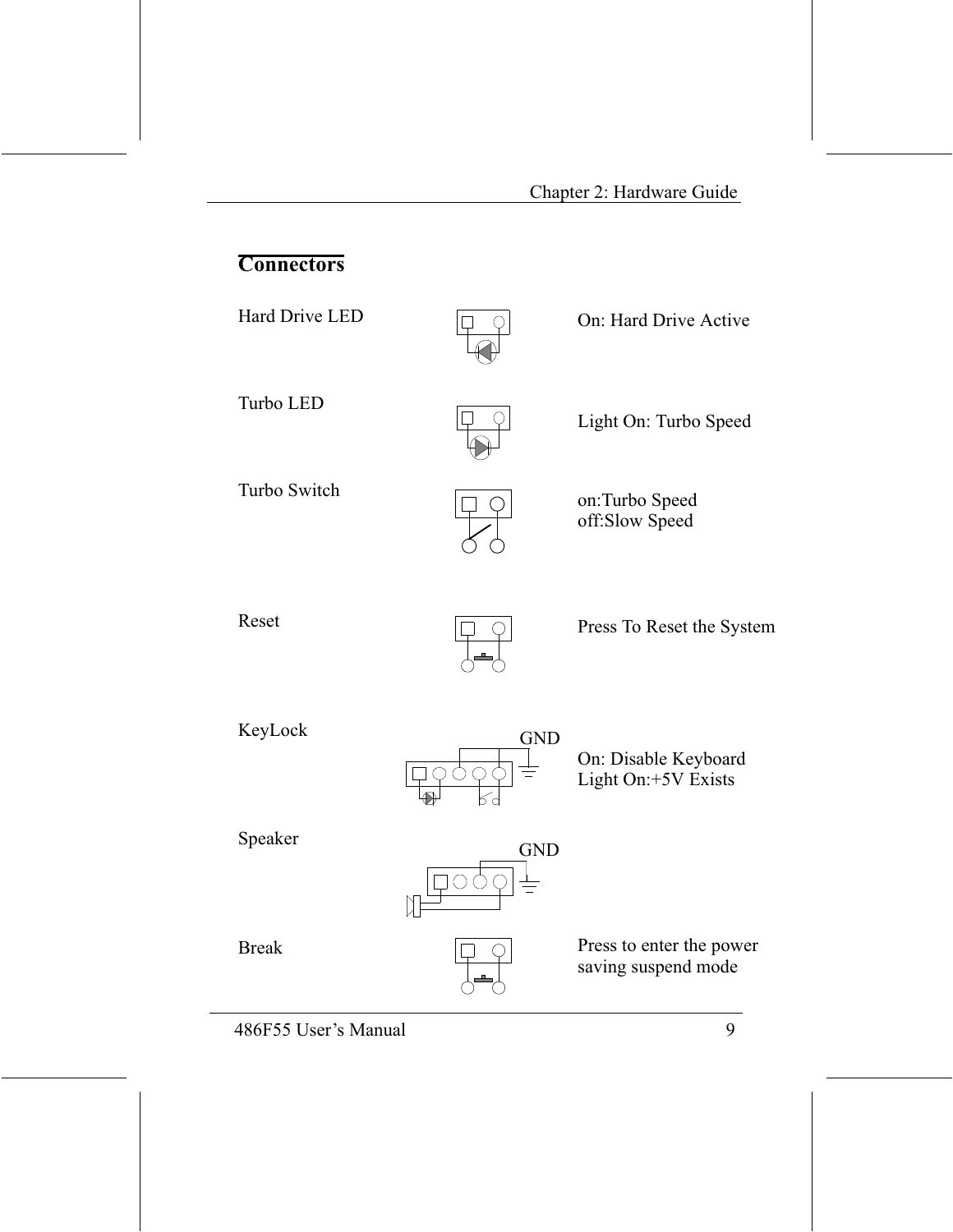## **Connectors**

Hard Drive LED



On: Hard Drive Active

Turbo LED



Light On: Turbo Speed

Turbo Switch



on:Turbo Speed off:Slow Speed

Reset



Press To Reset the System

KeyLock



On: Disable Keyboard<br>Light On:+5V Exists

Speaker



**Break** 



Press to enter the power saving suspend mode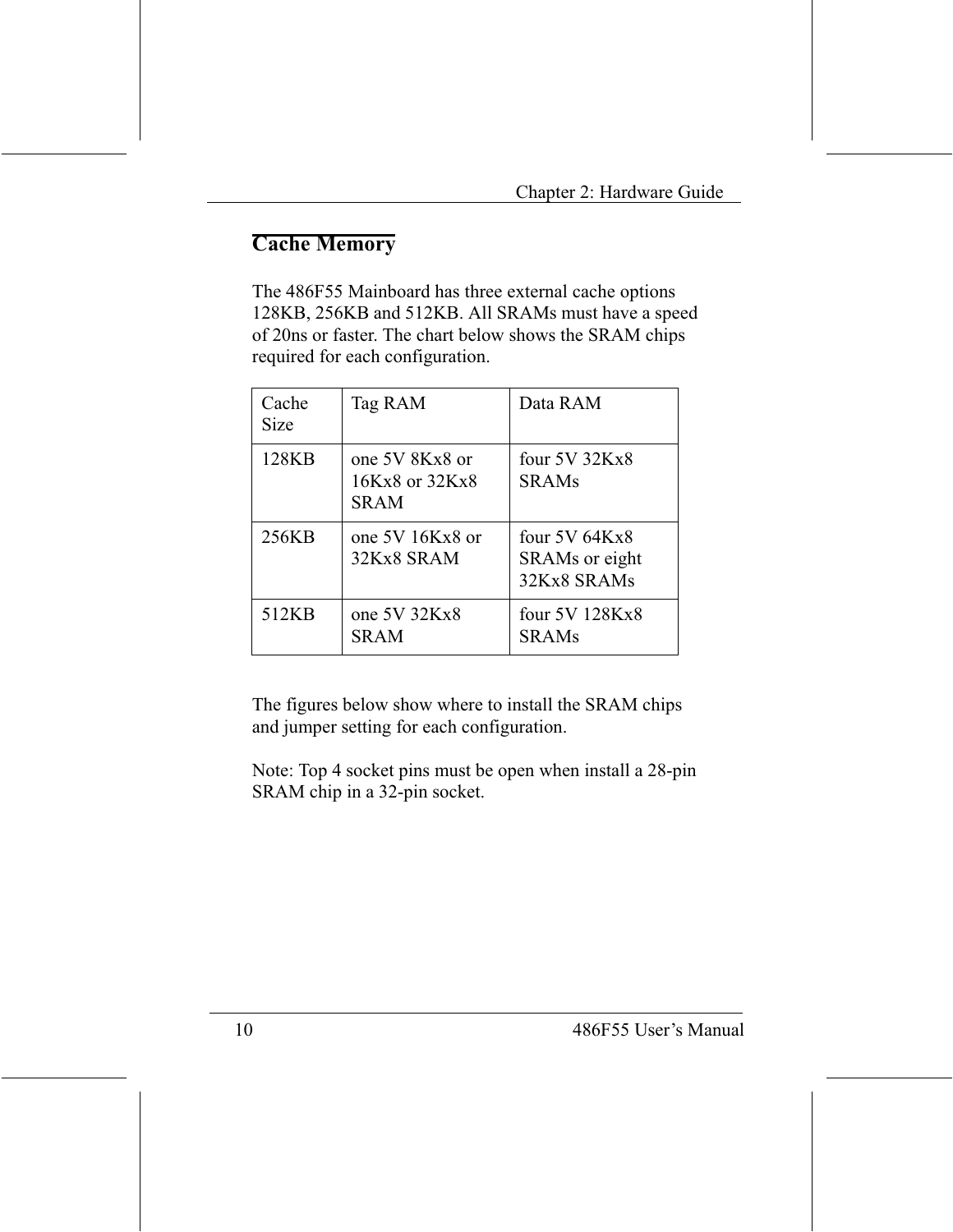## **Cache Memory**

The 486F55 Mainboard has three external cache options 128KB, 256KB and 512KB. All SRAMs must have a speed of 20ns or faster. The chart below shows the SRAM chips required for each configuration.

| Cache<br>Size | Tag RAM                                         | Data RAM                                            |
|---------------|-------------------------------------------------|-----------------------------------------------------|
| 128KB         | one 5V 8Kx8 or<br>16Kx8 or 32Kx8<br><b>SRAM</b> | four $5V$ 32Kx8<br><b>SRAMs</b>                     |
| 256KB         | one 5V 16Kx8 or<br>32Kx8 SRAM                   | four $5V$ 64K $x8$<br>SRAMs or eight<br>32Kx8 SRAMs |
| 512KB         | one 5V 32Kx8<br><b>SRAM</b>                     | four 5V 128Kx8<br><b>SRAMs</b>                      |

The figures below show where to install the SRAM chips and jumper setting for each configuration.

Note: Top 4 socket pins must be open when install a 28-pin SRAM chip in a 32-pin socket.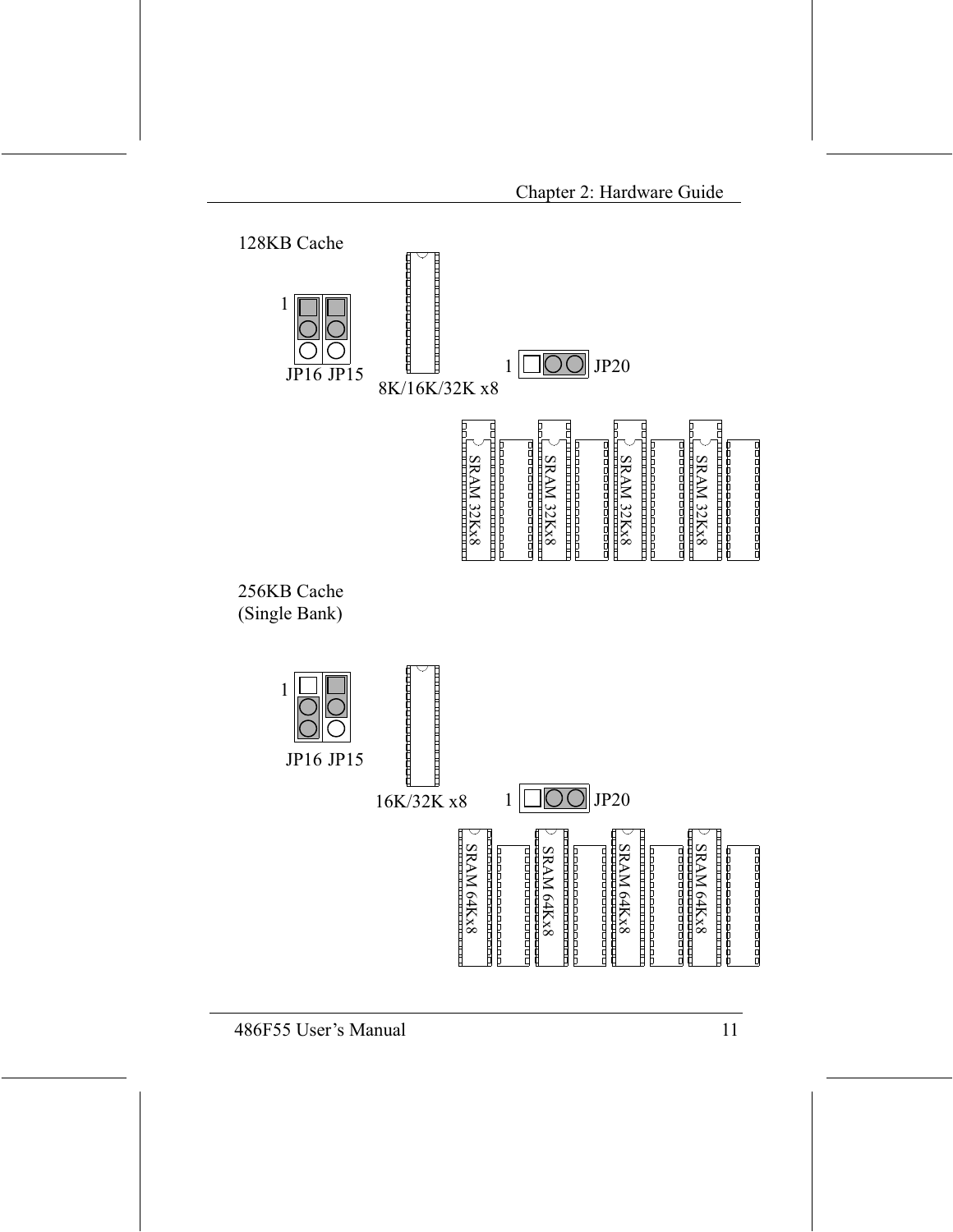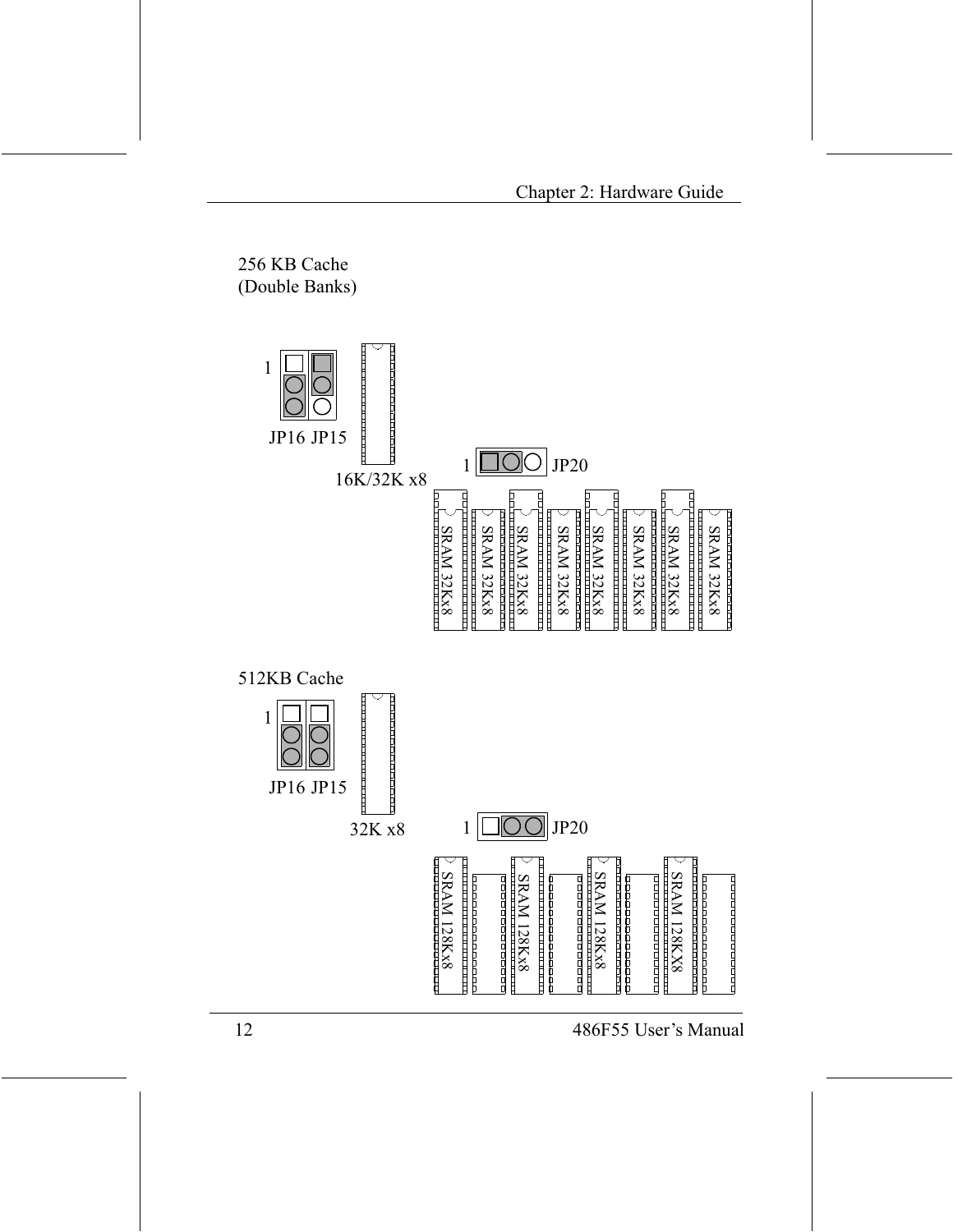256 KB Cache (Double Banks) 1 JP16 JP15 IE  $JP20$  $\mathbf{1}$ 16K/32K x8 בתבתב הבערבת בתבתב הבערבת בתבת<br>דבות בתבתב הבערבת בתבתב הבערבת <u>The contract of the contract of the contract of the contract of the contract of the contract of the contract of the contract of the contract of the contract of the contract of the contract of the contract of the contract </u> בת התרבות התרבות התרבות התרבות הדרות.<br>ביותר הרובה ביותר הרובה הרובה הדרות SRAM 32Kx8 SRAM 32Kx8 <u> 11 11 11 11 11 11 11 11 11 11 11</u> **SRAM 32Kx8** SRAM 32Kx8 **SRAM 32Kx8 SRAM 32Kx8 SRAM 32Kx8 SRAM 32Kx8** 11 11 11 11 11 11 11 11 11 11 11 11 י הורים וביות וביות וביות וביות וביות.<br>בסופים המשפטים היות וביות וביות 512KB Cache 1 JP16 JP15  $JP20$ 32K x8 1 <u> Tanzania de la provincia de la provinc</u>ia **SRAM 128Kx8** المائك المائك المائك المائك المائك المائك المائك **SRAM 128Kx8 SRAM 128KX8** rooooooooooo ononomorano na p **SRAM 128Kx8** 2010000000000000 ممصمم ممصموم propropropropropro -----------------------------------000000000000000 <u>The proportion of the proportion</u> <u> TENETA DE LA PROVINCIA DE LA PROVINCIA DE LA PROVINCIA DE LA PROVINCIA DE LA PROVINCIA DE LA PROVINCIA DE LA</u> <u>n Silan Sila bertama dan sebagai sebagai sebagai sebagai sebagai sebagai sebagai sebagai sebagai sebagai seba</u> **TREADERS**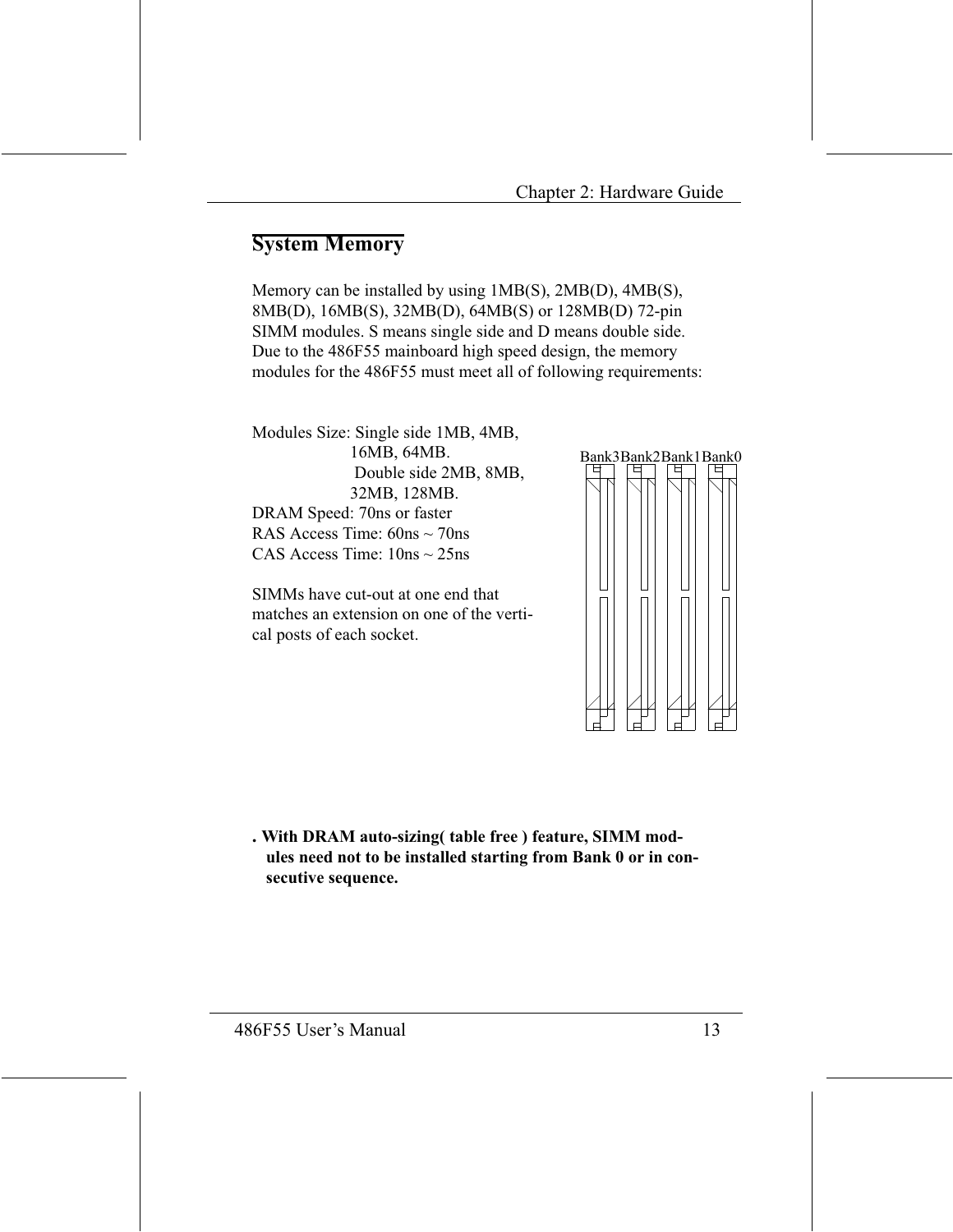### **System Memory**

Memory can be installed by using 1MB(S), 2MB(D), 4MB(S), 8MB(D), 16MB(S), 32MB(D), 64MB(S) or 128MB(D) 72-pin SIMM modules. S means single side and D means double side. Due to the 486F55 mainboard high speed design, the memory modules for the 486F55 must meet all of following requirements:

Modules Size: Single side 1MB, 4MB, 16MB, 64MB. Double side 2MB, 8MB, 32MB, 128MB. DRAM Speed: 70ns or faster RAS Access Time:  $60ns \sim 70ns$ CAS Access Time:  $10ns \approx 25ns$ 

SIMMs have cut-out at one end that matches an extension on one of the vertical posts of each socket.



. With DRAM auto-sizing (table free) feature, SIMM modules need not to be installed starting from Bank 0 or in consecutive sequence.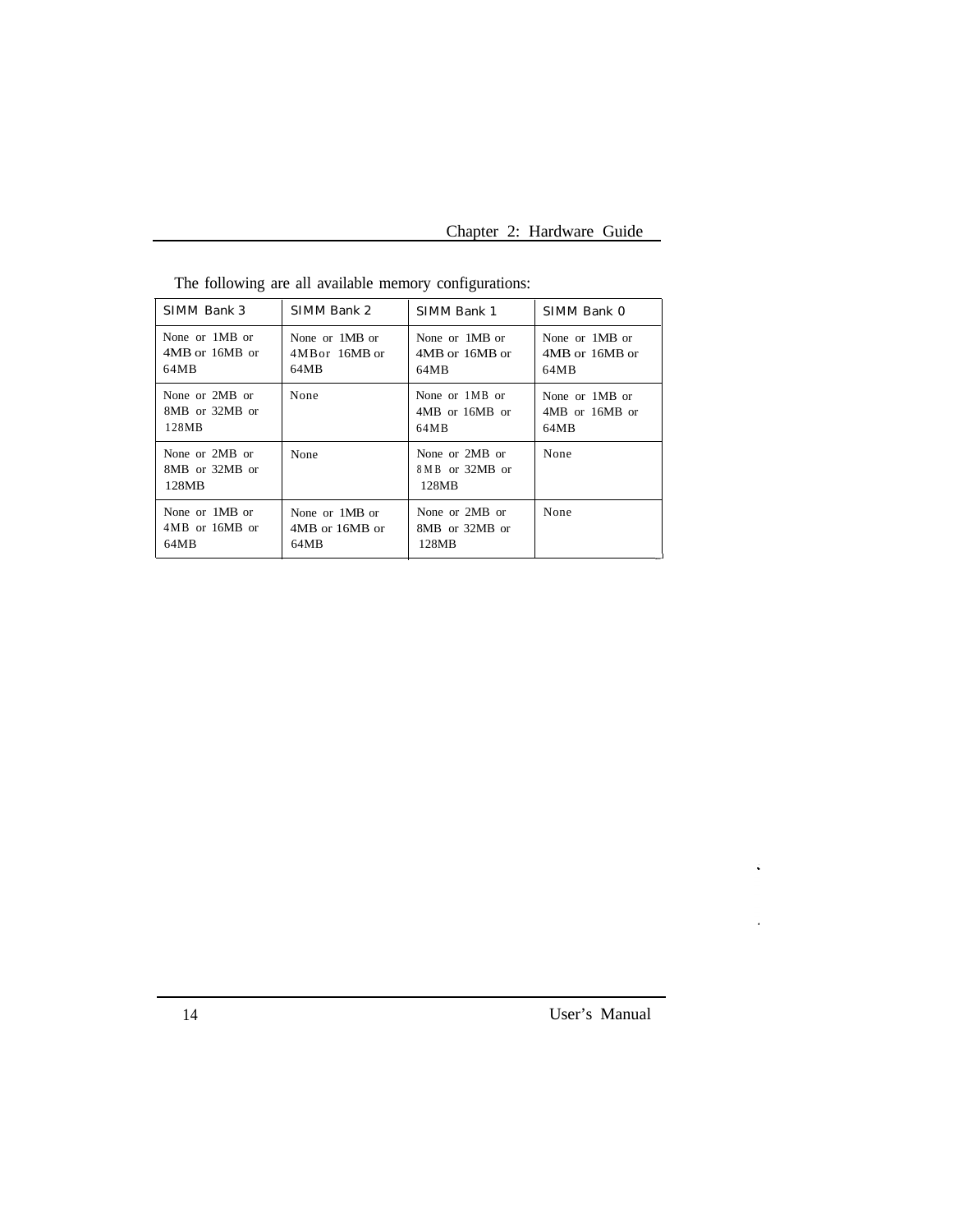| SIMM Bank 3                               | SIMM Bank 2    | SIMM Bank 1                                 | SIMM Bank 0    |
|-------------------------------------------|----------------|---------------------------------------------|----------------|
| None or 1MB or                            | None or 1MB or | None or 1MB or                              | None or 1MB or |
| 4MB or 16MB or                            | 4MB or 16MB or | 4MB or 16MB or                              | 4MB or 16MB or |
| 64MB                                      | 64MB           | 64MB                                        | 64MB           |
| None or 2MB or                            | None           | None or 1MB or                              | None or 1MB or |
| 8MB or 32MB or                            |                | 4MB or 16MB or                              | 4MB or 16MB or |
| 128MB                                     |                | 64MB                                        | 64MB           |
| None or 2MB or<br>8MB or 32MB or<br>128MB | None           | None or 2MB or<br>8 M B or 32MB or<br>128MB | None           |
| None or 1MB or                            | None or 1MB or | None or 2MB or                              | None           |
| $4MB$ or $16MB$ or                        | 4MB or 16MB or | 8MB or 32MB or                              |                |
| 64MB                                      | 64MB           | 128MB                                       |                |

The following are all available memory configurations: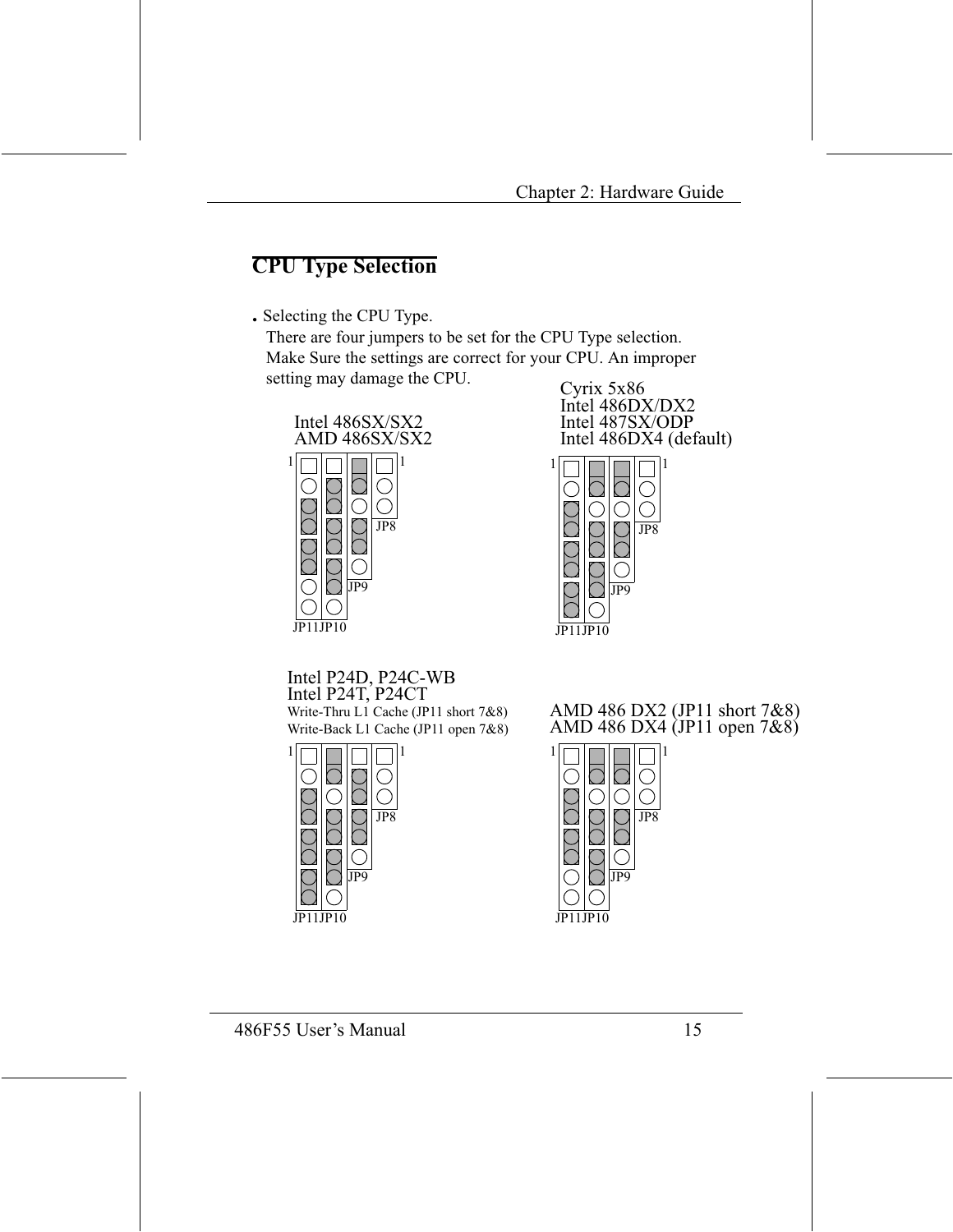## **CPU Type Selection**

. Selecting the CPU Type.

There are four jumpers to be set for the CPU Type selection. Make Sure the settings are correct for your CPU. An improper setting may damage the CPU.



Cyrix 5x86 Intel 486DX/DX2 Intel 487SX/ODP<br>Intel 486DX4 (default)



Intel P24D, P24C-WB Intel P24T, P24CT Write-Thru L1 Cache (JP11 short 7&8) Write-Back L1 Cache (JP11 open 7&8)



AMD 486 DX2 (JP11 short 7& AMD 486 DX4  $\check{O}$  IP11 open 7&

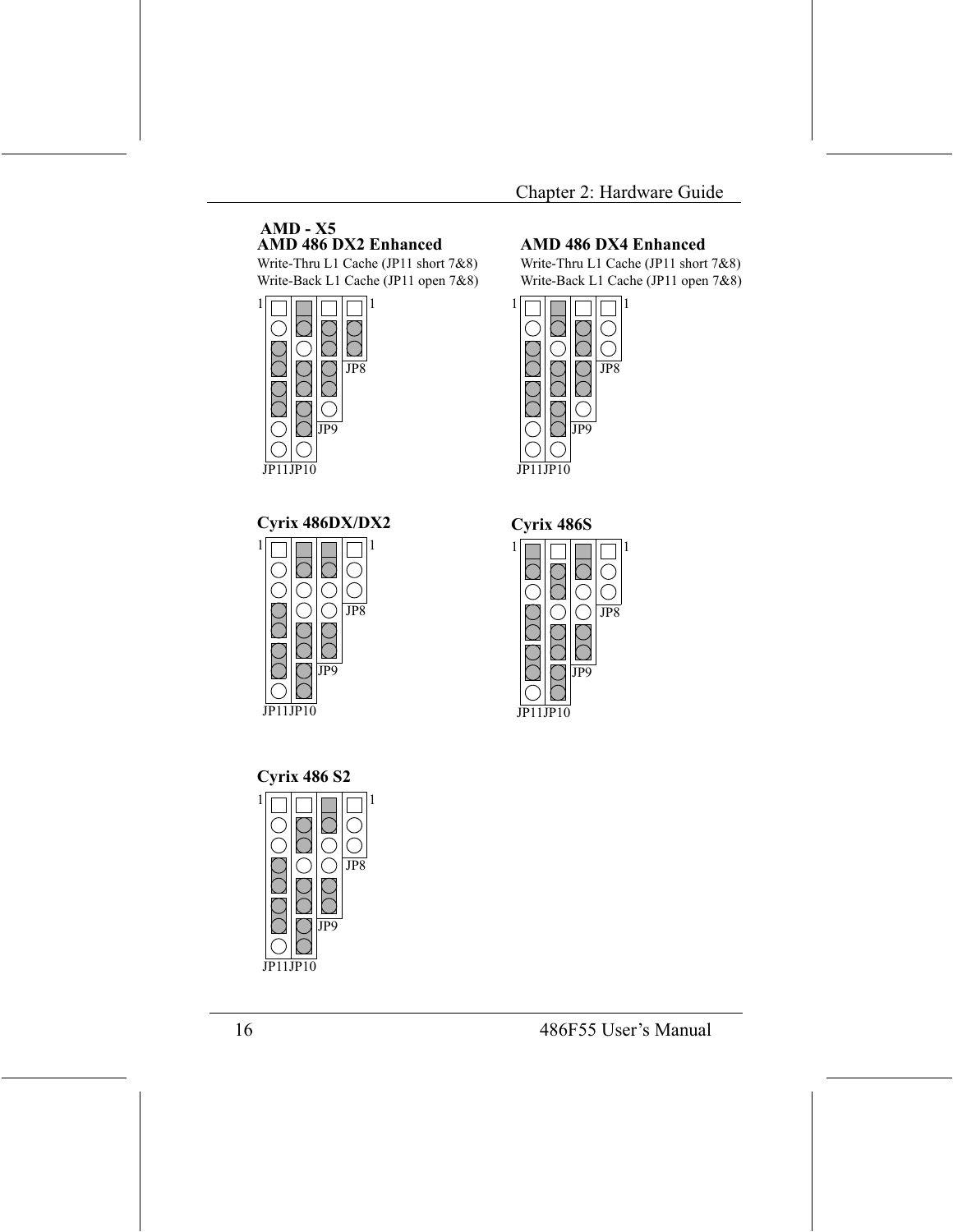#### $AMD - X5$ AMD 486 DX2 Enhanced

Write-Thru L1 Cache (JP11 short 7&8) Write-Back L1 Cache (JP11 open 7&8) 1



#### Cyrix 486DX/DX2



#### **AMD 486 DX4 Enhanced**

Write-Thru L1 Cache (JP11 short 7&8) Write-Back L1 Cache (JP11 open 7&8)





11 IP10



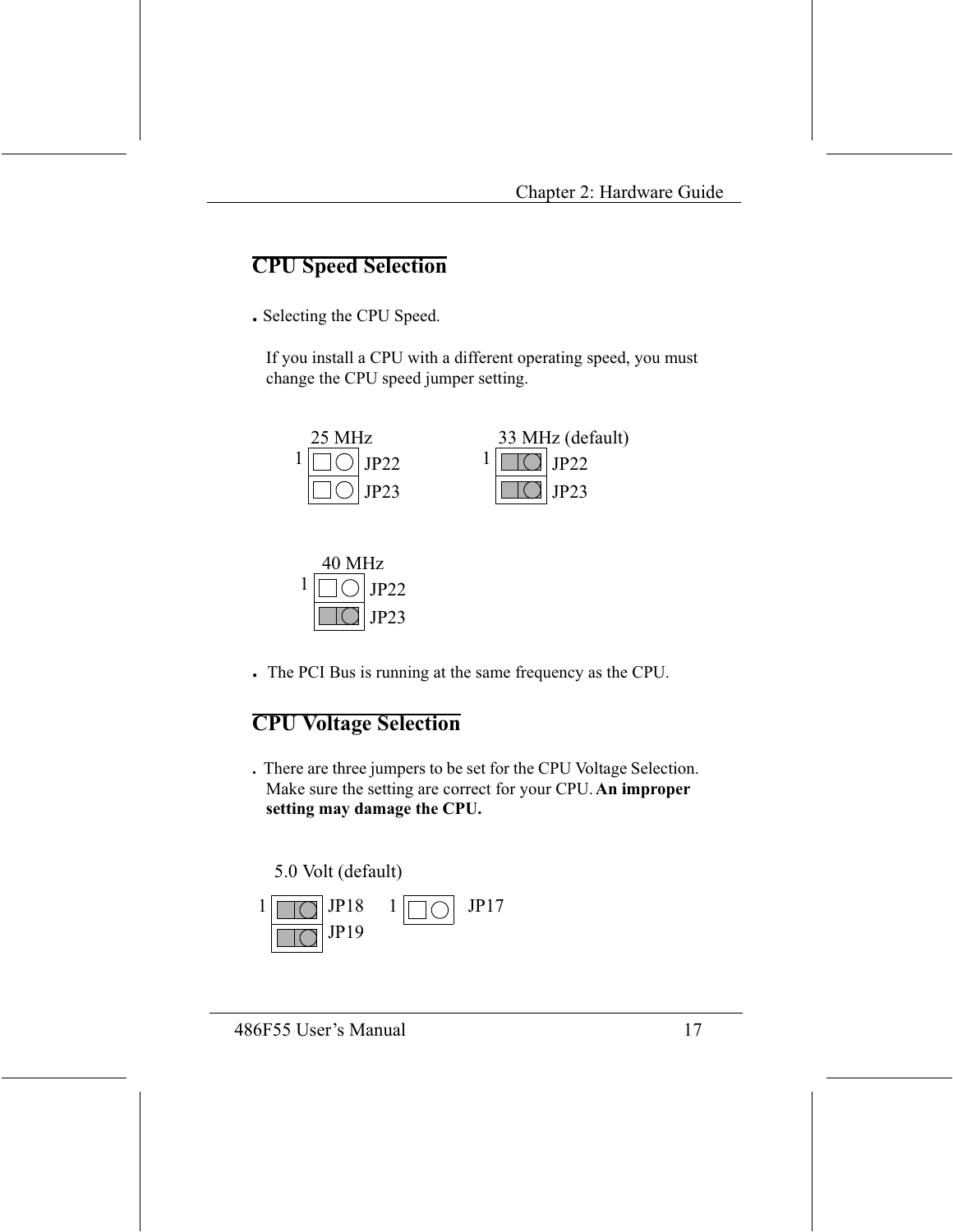### **CPU Speed Selection**

. Selecting the CPU Speed.

If you install a CPU with a different operating speed, you must change the CPU speed jumper setting.





The PCI Bus is running at the same frequency as the CPU.

## **CPU Voltage Selection**

. There are three jumpers to be set for the CPU Voltage Selection. Make sure the setting are correct for your CPU. An improper setting may damage the CPU.

#### 5.0 Volt (default)

$$
\frac{1}{\square \square} \text{JP18} \quad 1 \boxed{\square \bigcirc} \text{ JP17}
$$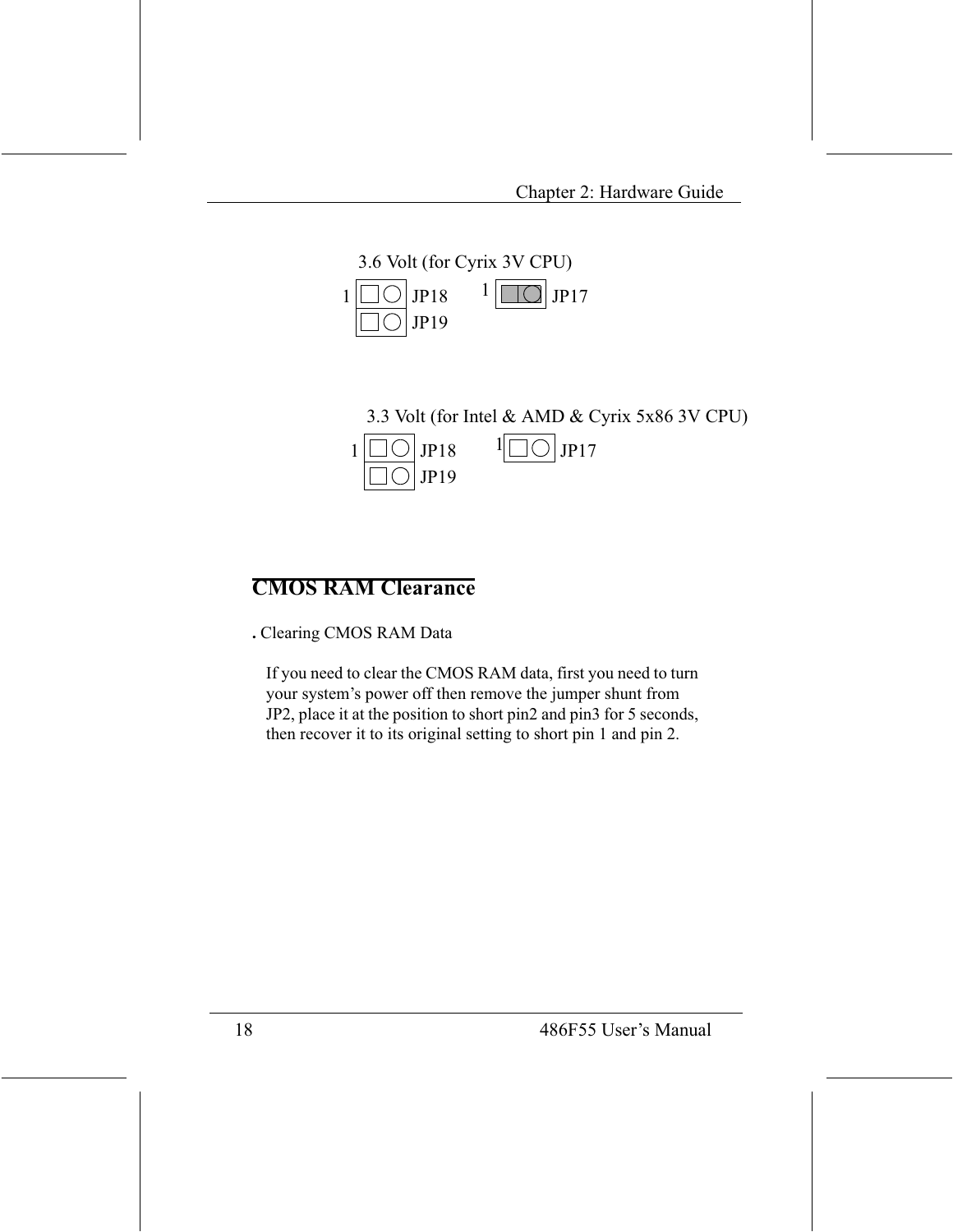

3.3 Volt (for Intel & AMD & Cyrix 5x86 3V CPU)  $JPI7$  $JP18$ 1  $JP19$ 

## **CMOS RAM Clearance**

. Clearing CMOS RAM Data

If you need to clear the CMOS RAM data, first you need to turn your system's power off then remove the jumper shunt from JP2, place it at the position to short pin2 and pin3 for 5 seconds, then recover it to its original setting to short pin 1 and pin 2.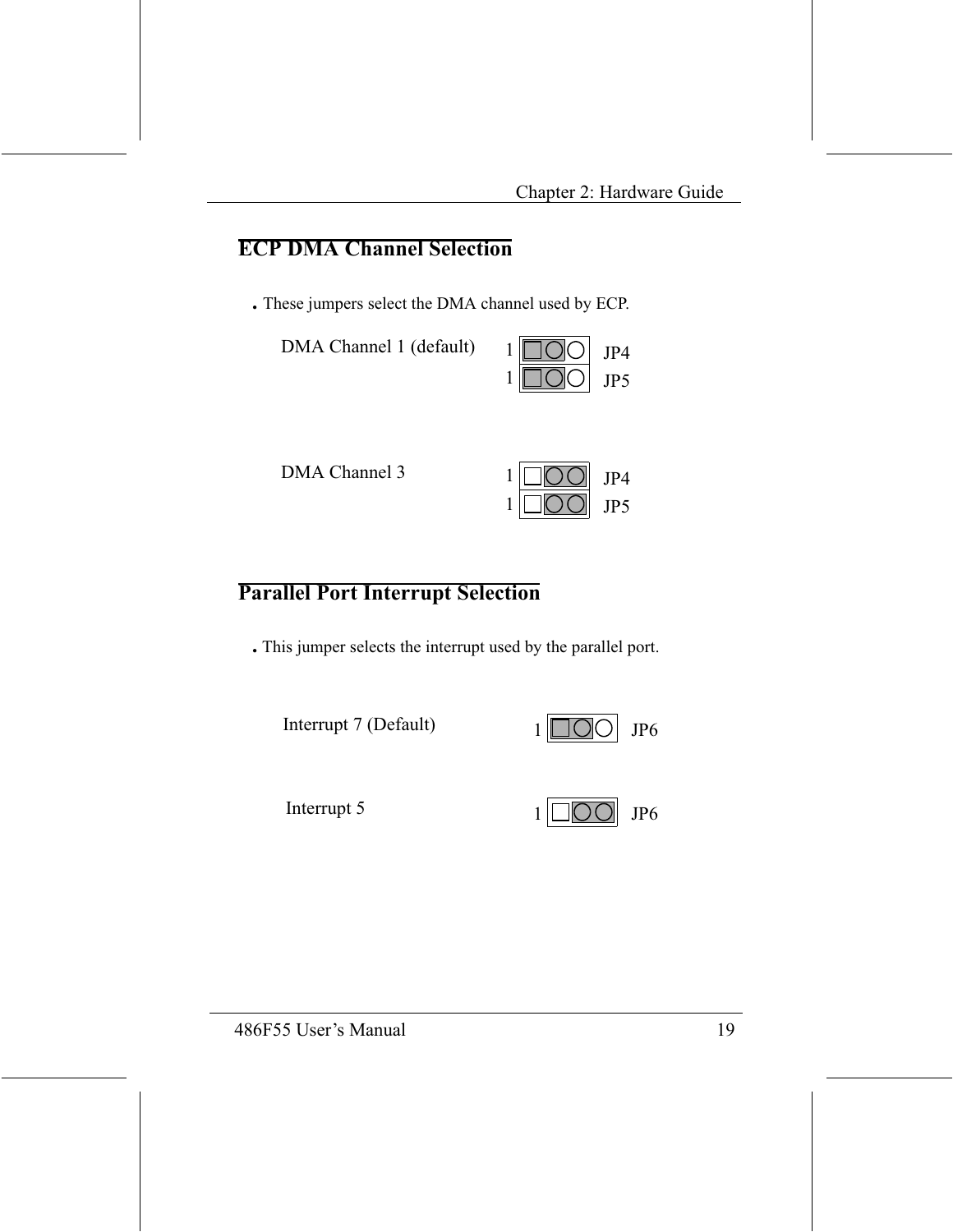#### **ECP DMA Channel Selection**

. These jumpers select the DMA channel used by ECP.



DMA Channel 3



#### **Parallel Port Interrupt Selection**

. This jumper selects the interrupt used by the parallel port.

Interrupt 7 (Default)





Interrupt 5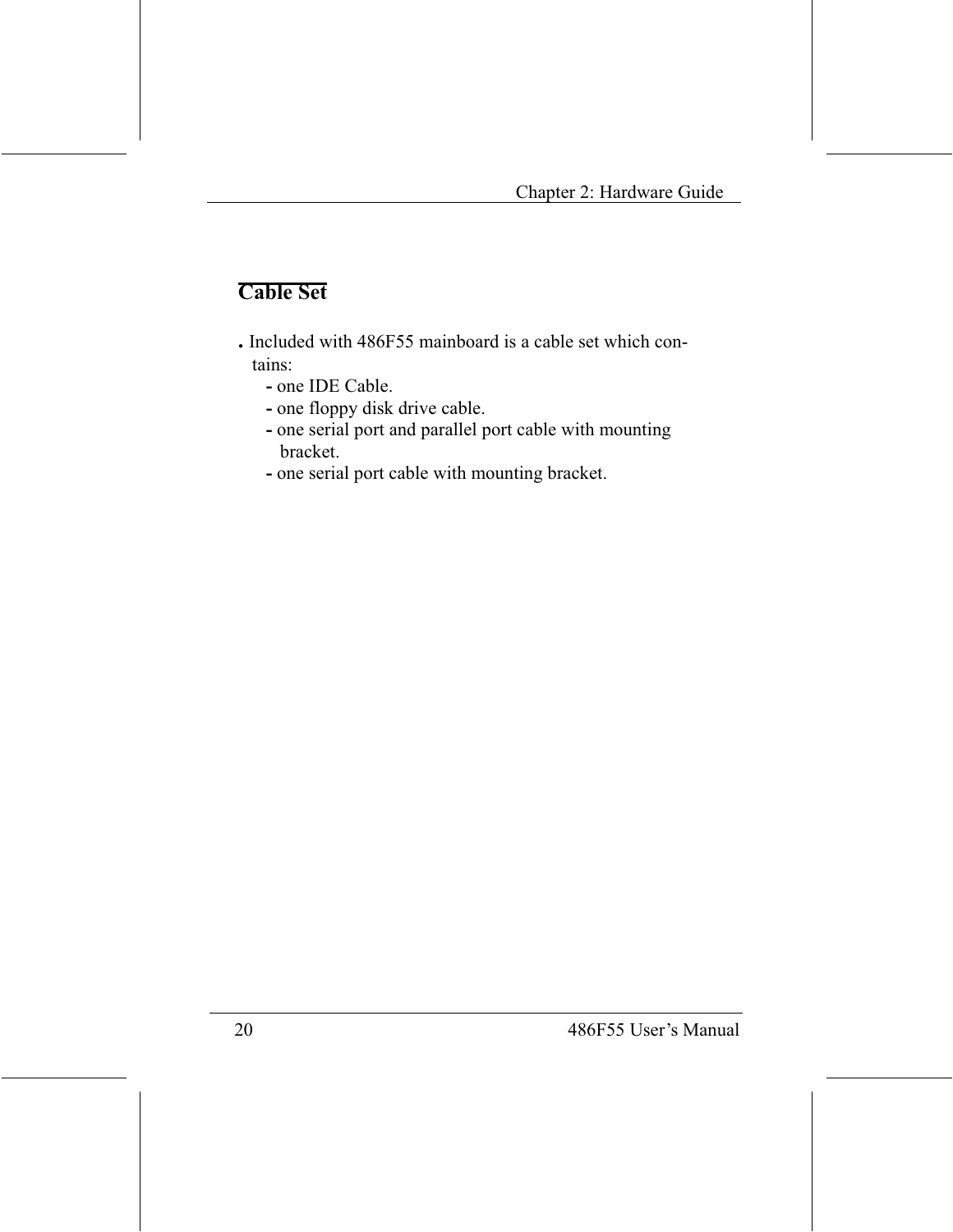## **Cable Set**

- . Included with 486F55 mainboard is a cable set which contains:
	- one IDE Cable.
	- one floppy disk drive cable.
	- one serial port and parallel port cable with mounting bracket.
	- one serial port cable with mounting bracket.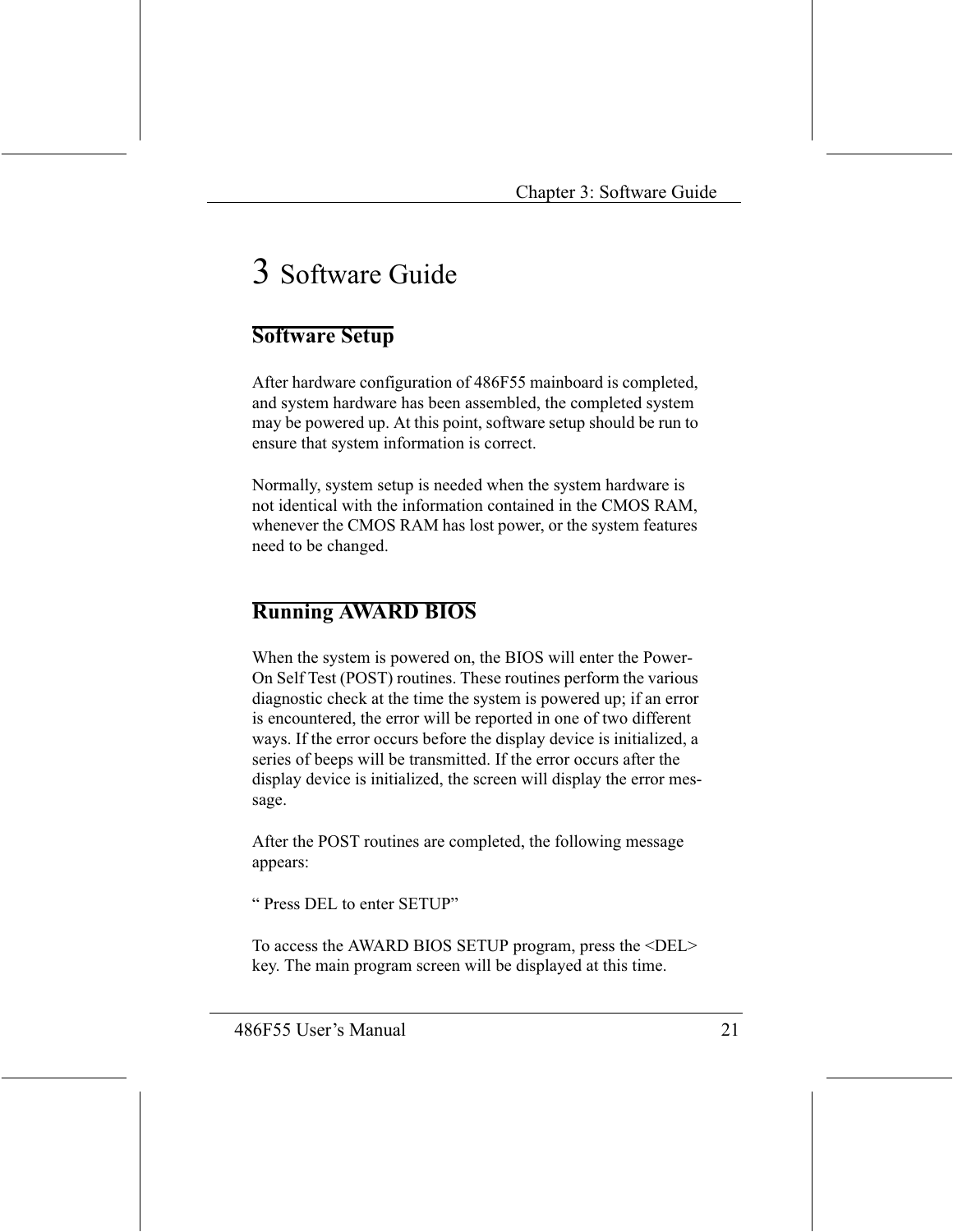# 3 Software Guide

#### **Software Setup**

After hardware configuration of 486F55 mainboard is completed, and system hardware has been assembled, the completed system may be powered up. At this point, software setup should be run to ensure that system information is correct.

Normally, system setup is needed when the system hardware is not identical with the information contained in the CMOS RAM, whenever the CMOS RAM has lost power, or the system features need to be changed.

### **Running AWARD BIOS**

When the system is powered on, the BIOS will enter the Power-On Self Test (POST) routines. These routines perform the various diagnostic check at the time the system is powered up; if an error is encountered, the error will be reported in one of two different ways. If the error occurs before the display device is initialized, a series of beeps will be transmitted. If the error occurs after the display device is initialized, the screen will display the error message.

After the POST routines are completed, the following message appears:

"Press DEL to enter SETUP"

To access the AWARD BIOS SETUP program, press the <DEL> key. The main program screen will be displayed at this time.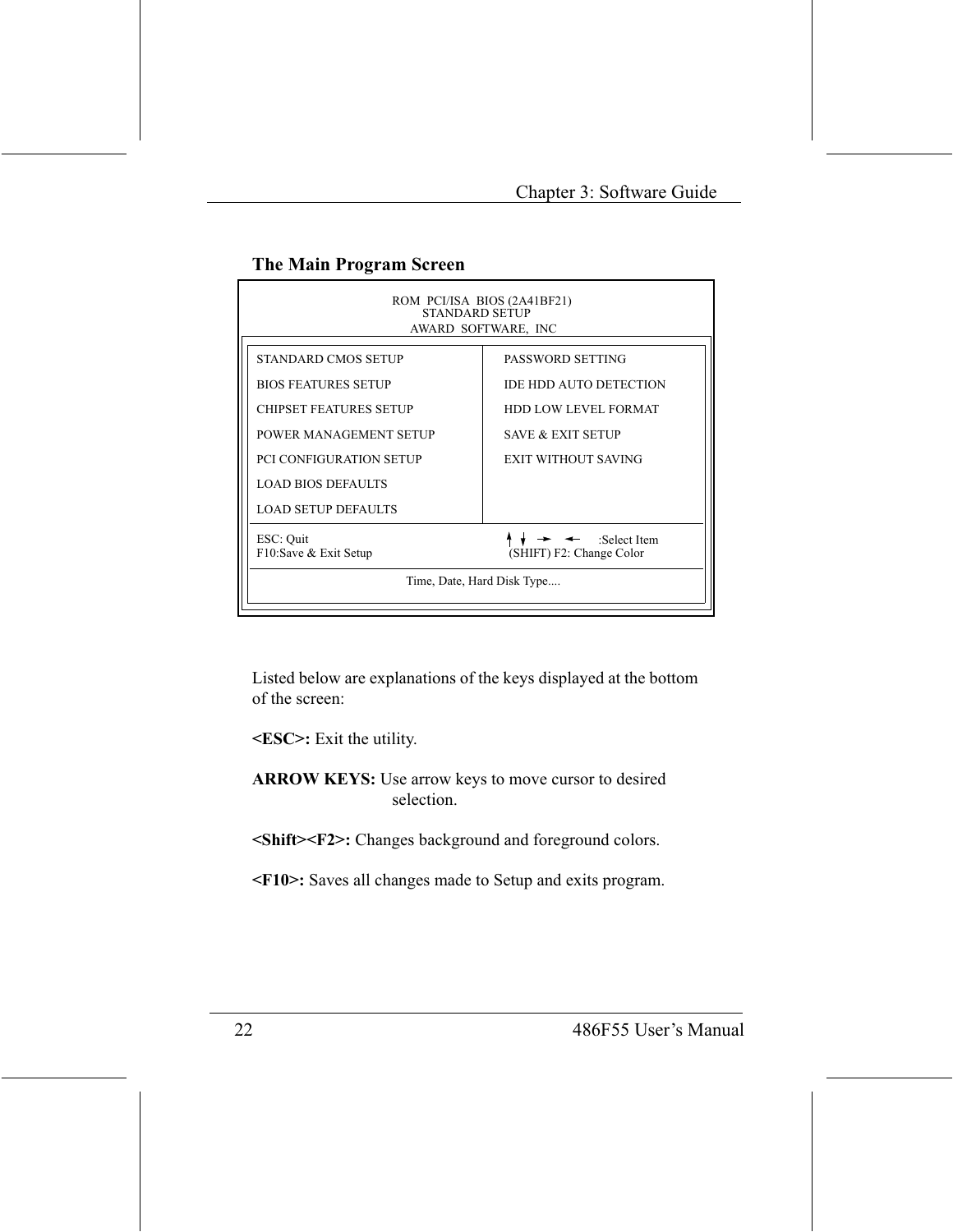#### The Main Program Screen

| ROM PCI/ISA BIOS (2A41BF21)<br><b>STANDARD SETUP</b><br>AWARD SOFTWARE, INC                               |  |  |  |
|-----------------------------------------------------------------------------------------------------------|--|--|--|
| PASSWORD SETTING                                                                                          |  |  |  |
| <b>IDE HDD AUTO DETECTION</b>                                                                             |  |  |  |
| <b>HDD LOW LEVEL FORMAT</b>                                                                               |  |  |  |
| <b>SAVE &amp; EXIT SETUP</b>                                                                              |  |  |  |
| EXIT WITHOUT SAVING                                                                                       |  |  |  |
|                                                                                                           |  |  |  |
|                                                                                                           |  |  |  |
| ESC: Quit<br>$\rightarrow$ $\leftarrow$ :Select Item<br>F10:Save & Exit Setup<br>(SHIFT) F2: Change Color |  |  |  |
| Time, Date, Hard Disk Type                                                                                |  |  |  |
|                                                                                                           |  |  |  |

Listed below are explanations of the keys displayed at the bottom of the screen:

<ESC>: Exit the utility.

ARROW KEYS: Use arrow keys to move cursor to desired selection.

<Shift><F2>: Changes background and foreground colors.

<F10>: Saves all changes made to Setup and exits program.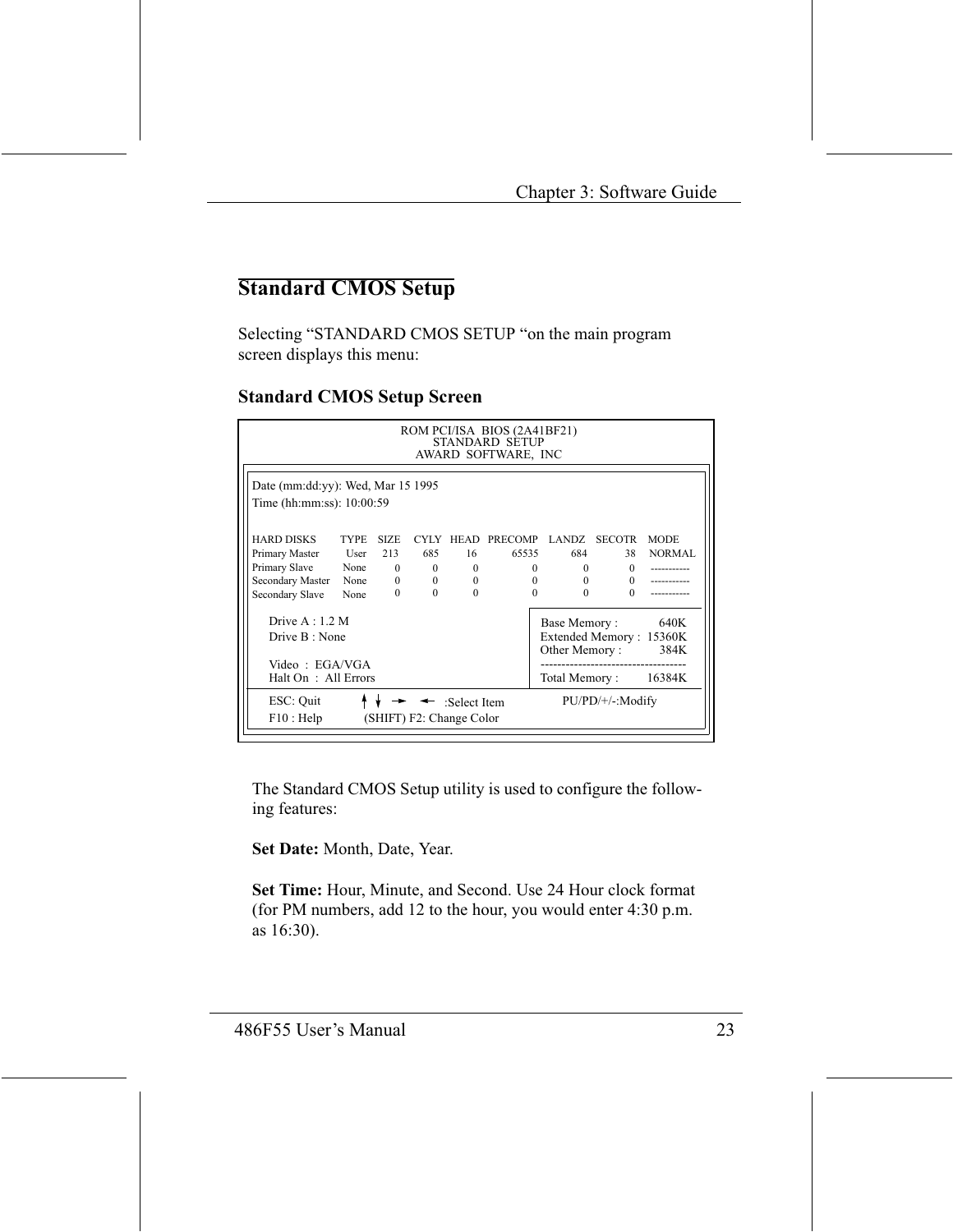## **Standard CMOS Setup**

Selecting "STANDARD CMOS SETUP "on the main program screen displays this menu:

#### **Standard CMOS Setup Screen**

|                                                                                                                                                                                   | ROM PCI/ISA BIOS (2A41BF21)<br><b>STANDARD SETUP</b><br>AWARD SOFTWARE, INC |                         |                                                                                   |                                        |                                                                 |                                      |                                                              |                              |
|-----------------------------------------------------------------------------------------------------------------------------------------------------------------------------------|-----------------------------------------------------------------------------|-------------------------|-----------------------------------------------------------------------------------|----------------------------------------|-----------------------------------------------------------------|--------------------------------------|--------------------------------------------------------------|------------------------------|
|                                                                                                                                                                                   | Date (mm:dd:yy): Wed, Mar 15 1995<br>Time (hh:mm:ss): 10:00:59              |                         |                                                                                   |                                        |                                                                 |                                      |                                                              |                              |
| HARD DISKS<br>Primary Master<br>Primary Slave None<br>Secondary Master<br>Secondary Slave                                                                                         | <b>TYPE</b><br>User $213$<br>None<br>None                                   | <b>SIZE</b><br>$\Omega$ | 685<br>$\mathbf{0}$<br>$\mathbf{0}$<br>$\overline{0}$<br>$\mathbf{0}$<br>$\Omega$ | 16<br>$\theta$<br>$\theta$<br>$\Omega$ | CYLY HEAD PRECOMP LANDZ SECOTR<br>65535<br>$\Omega$<br>$\Omega$ | $\mathbf{0}$<br>$\Omega$<br>$\Omega$ | 684 68<br>38<br>$\Omega$<br>$\Omega$<br>$\Omega$<br>$\Omega$ | <b>MODE</b><br><b>NORMAL</b> |
| Drive $A:1.2 M$<br>640K<br>Base Memory:<br>Extended Memory: 15360K<br>Drive B: None<br>Other Memory:<br>384K<br>Video : EGAVGA<br>Total Memory :<br>Halt On: All Errors<br>16384K |                                                                             |                         |                                                                                   |                                        |                                                                 |                                      |                                                              |                              |
| ESC: Quit<br>$PU/PD/+\prime$ -:Modify<br>← :Select Item<br>(SHIFT) F2: Change Color<br>$F10$ : Help                                                                               |                                                                             |                         |                                                                                   |                                        |                                                                 |                                      |                                                              |                              |

The Standard CMOS Setup utility is used to configure the following features:

Set Date: Month, Date, Year.

Set Time: Hour, Minute, and Second. Use 24 Hour clock format (for PM numbers, add 12 to the hour, you would enter 4:30 p.m. as 16:30).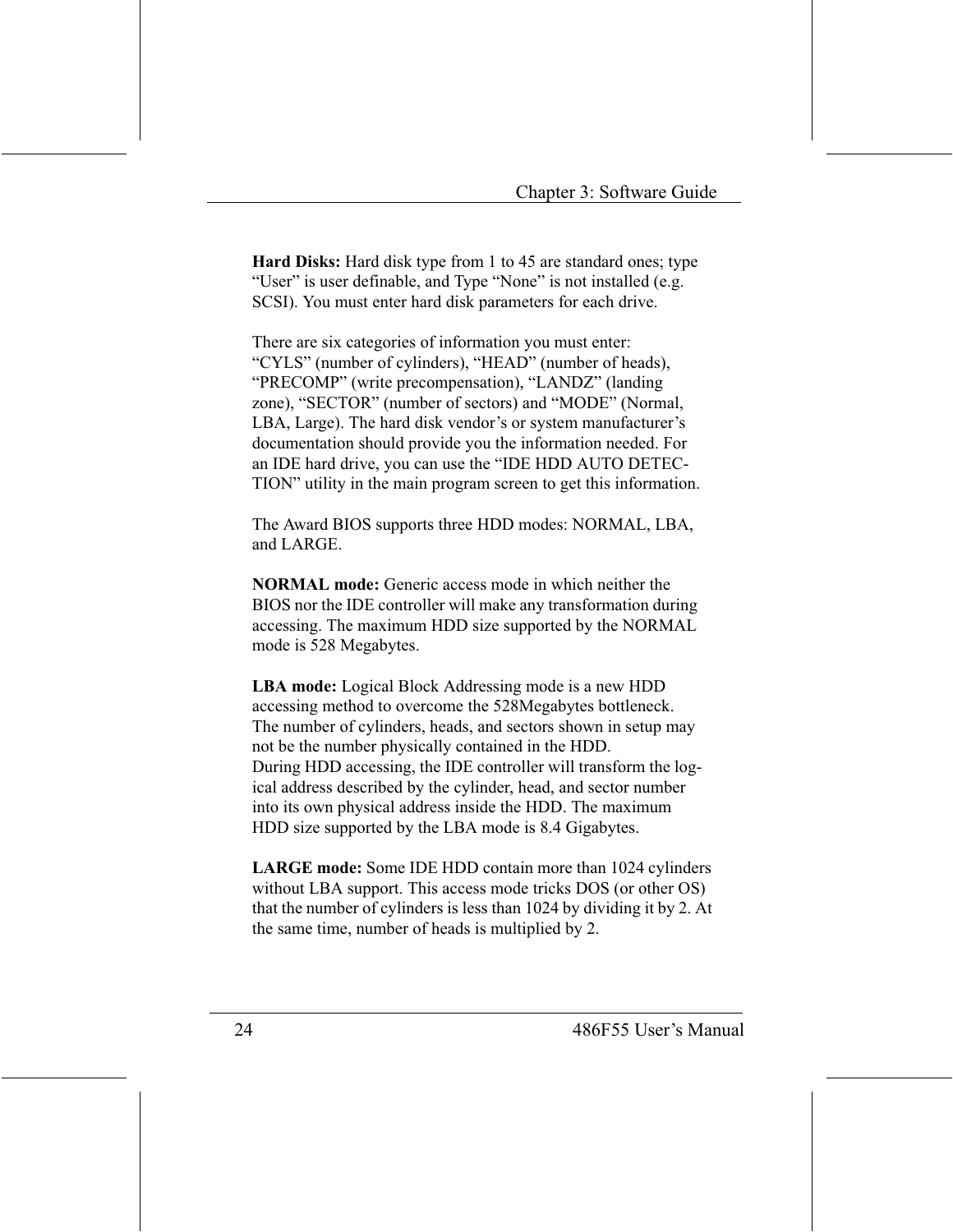**Hard Disks:** Hard disk type from 1 to 45 are standard ones; type "User" is user definable, and Type "None" is not installed (e.g. SCSI). You must enter hard disk parameters for each drive.

There are six categories of information you must enter: "CYLS" (number of cylinders), "HEAD" (number of heads), "PRECOMP" (write precompensation), "LANDZ" (landing zone), "SECTOR" (number of sectors) and "MODE" (Normal, LBA, Large). The hard disk vendor's or system manufacturer's documentation should provide you the information needed. For an IDE hard drive, you can use the "IDE HDD AUTO DETEC-TION" utility in the main program screen to get this information.

The Award BIOS supports three HDD modes: NORMAL, LBA, and LARGE

**NORMAL mode:** Generic access mode in which neither the BIOS nor the IDE controller will make any transformation during accessing. The maximum HDD size supported by the NORMAL mode is 528 Megabytes.

**LBA mode:** Logical Block Addressing mode is a new HDD accessing method to overcome the 528Megabytes bottleneck. The number of cylinders, heads, and sectors shown in setup may not be the number physically contained in the HDD. During HDD accessing, the IDE controller will transform the logical address described by the cylinder, head, and sector number into its own physical address inside the HDD. The maximum HDD size supported by the LBA mode is 8.4 Gigabytes.

**LARGE mode:** Some IDE HDD contain more than 1024 cylinders without LBA support. This access mode tricks DOS (or other OS) that the number of cylinders is less than 1024 by dividing it by 2. At the same time, number of heads is multiplied by 2.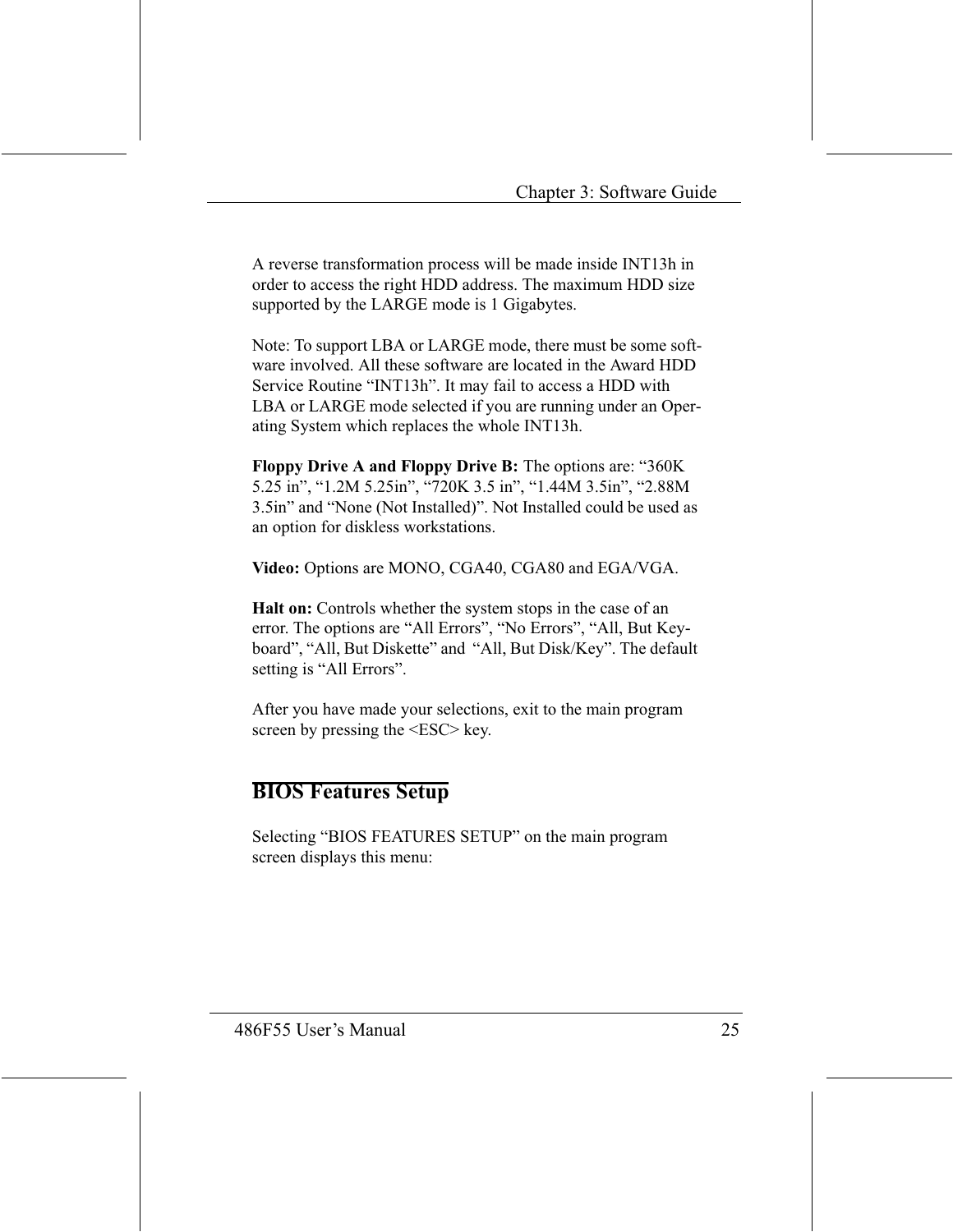A reverse transformation process will be made inside INT13h in order to access the right HDD address. The maximum HDD size supported by the LARGE mode is 1 Gigabytes.

Note: To support LBA or LARGE mode, there must be some software involved. All these software are located in the Award HDD Service Routine "INT13h". It may fail to access a HDD with LBA or LARGE mode selected if you are running under an Operating System which replaces the whole INT13h.

**Floppy Drive A and Floppy Drive B:** The options are: "360K 5.25 in", "1.2M 5.25in", "720K 3.5 in", "1.44M 3.5in", "2.88M 3.5in" and "None (Not Installed)". Not Installed could be used as an option for diskless workstations.

Video: Options are MONO, CGA40, CGA80 and EGA/VGA.

Halt on: Controls whether the system stops in the case of an error. The options are "All Errors", "No Errors", "All, But Keyboard", "All, But Diskette" and "All, But Disk/Key". The default setting is "All Errors".

After you have made your selections, exit to the main program screen by pressing the <ESC> key.

#### **BIOS Features Setup**

Selecting "BIOS FEATURES SETUP" on the main program screen displays this menu: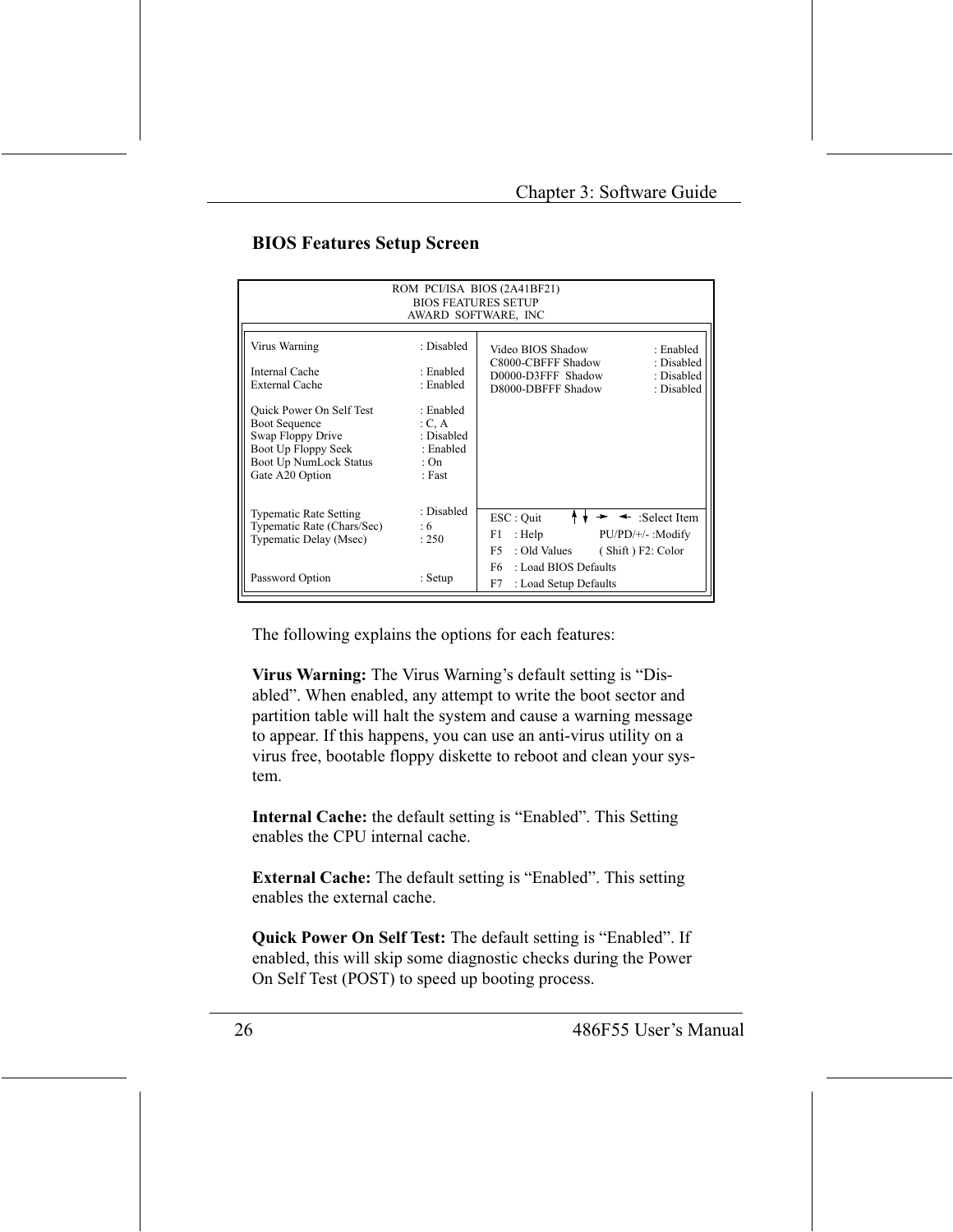#### **BIOS Features Setup Screen**

|                                                                                                                                                         | <b>BIOS FEATURES SETUP</b><br>AWARD SOFTWARE, INC                    | ROM PCI/ISA BIOS (2A41BF21)                                                                                                                |
|---------------------------------------------------------------------------------------------------------------------------------------------------------|----------------------------------------------------------------------|--------------------------------------------------------------------------------------------------------------------------------------------|
| Virus Warning<br>Internal Cache<br>External Cache                                                                                                       | : Disabled<br>· Enabled<br>: Enabled                                 | : Enabled<br>Video BIOS Shadow<br>C8000-CBFFF Shadow<br>: Disabled<br>D0000-D3FFF Shadow<br>: Disabled<br>D8000-DBFFF Shadow<br>: Disabled |
| <b>Ouick Power On Self Test</b><br><b>Boot Sequence</b><br>Swap Floppy Drive<br>Boot Up Floppy Seek<br><b>Boot Up NumLock Status</b><br>Gate A20 Option | : Enabled<br>C, A<br>: Disabled<br>: Enabled<br>: On<br>$\cdot$ Fast |                                                                                                                                            |
| <b>Typematic Rate Setting</b><br>Typematic Rate (Chars/Sec)<br>Typematic Delay (Msec)                                                                   | : Disabled<br>:6<br>: 250                                            | ESC : Quit<br>:Select Item<br>: Help<br>PU/PD/+/-: Modify<br>F1<br>F5<br>: Old Values<br>(Shift) F2: Color                                 |
| Password Option                                                                                                                                         | : Setup                                                              | : Load BIOS Defaults<br>F6 -<br>F7<br>: Load Setup Defaults                                                                                |

The following explains the options for each features:

Virus Warning: The Virus Warning's default setting is "Disabled". When enabled, any attempt to write the boot sector and partition table will halt the system and cause a warning message to appear. If this happens, you can use an anti-virus utility on a virus free, bootable floppy diskette to reboot and clean your system.

Internal Cache: the default setting is "Enabled". This Setting enables the CPU internal cache.

**External Cache:** The default setting is "Enabled". This setting enables the external cache.

Quick Power On Self Test: The default setting is "Enabled". If enabled, this will skip some diagnostic checks during the Power On Self Test (POST) to speed up booting process.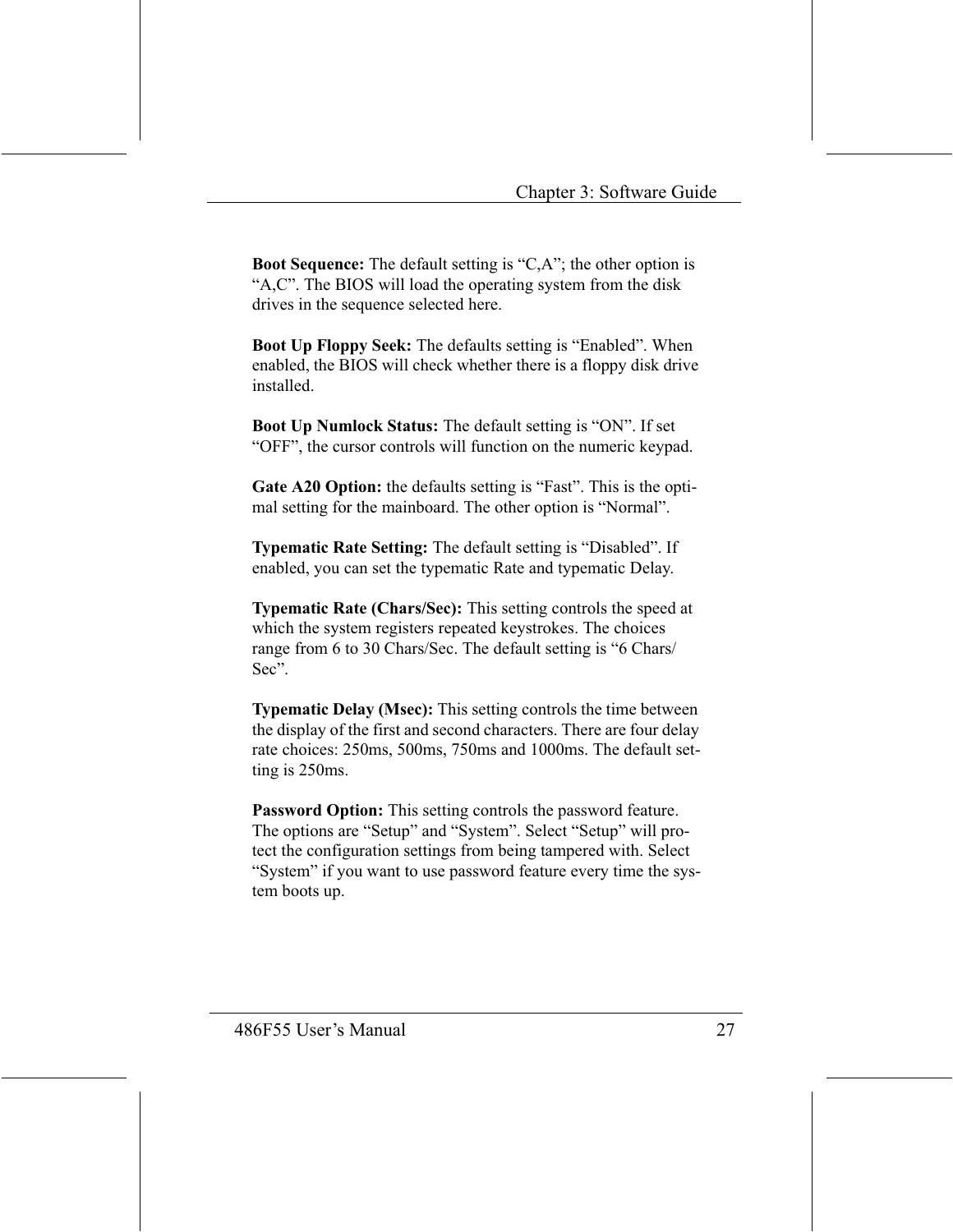**Boot Sequence:** The default setting is "C,A"; the other option is "A,C". The BIOS will load the operating system from the disk drives in the sequence selected here.

**Boot Up Floppy Seek:** The defaults setting is "Enabled". When enabled, the BIOS will check whether there is a floppy disk drive installed

**Boot Up Numlock Status:** The default setting is "ON". If set "OFF", the cursor controls will function on the numeric keypad.

Gate A20 Option: the defaults setting is "Fast". This is the optimal setting for the mainboard. The other option is "Normal".

Typematic Rate Setting: The default setting is "Disabled". If enabled, you can set the typematic Rate and typematic Delay.

Typematic Rate (Chars/Sec): This setting controls the speed at which the system registers repeated keystrokes. The choices range from 6 to 30 Chars/Sec. The default setting is "6 Chars/ Sec".

**Typematic Delay (Msec):** This setting controls the time between the display of the first and second characters. There are four delay rate choices: 250ms, 500ms, 750ms and 1000ms. The default setting is 250ms.

**Password Option:** This setting controls the password feature. The options are "Setup" and "System". Select "Setup" will protect the configuration settings from being tampered with. Select "System" if you want to use password feature every time the system boots up.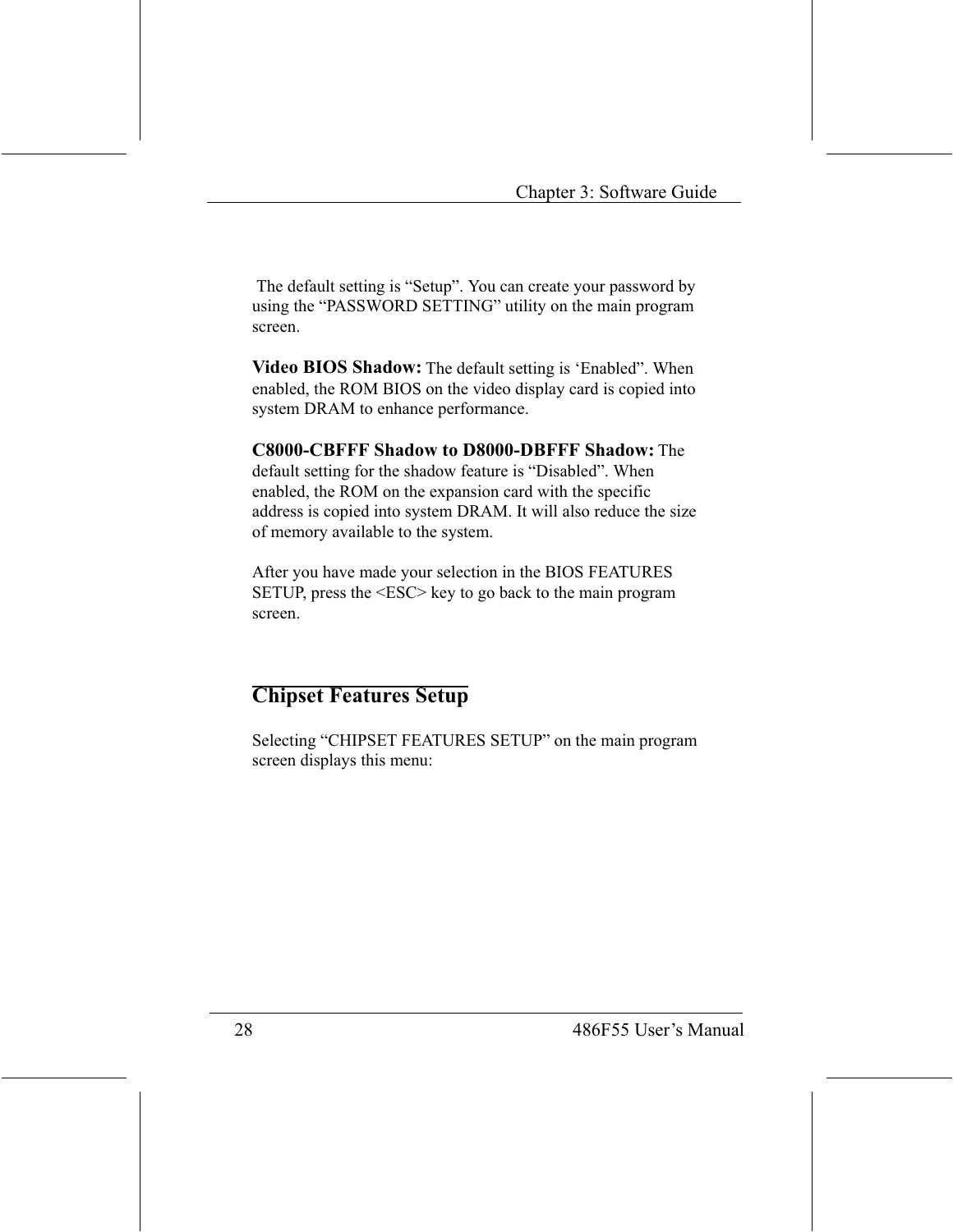The default setting is "Setup". You can create your password by using the "PASSWORD SETTING" utility on the main program screen.

Video BIOS Shadow: The default setting is 'Enabled". When enabled, the ROM BIOS on the video display card is copied into system DRAM to enhance performance.

C8000-CBFFF Shadow to D8000-DBFFF Shadow: The default setting for the shadow feature is "Disabled". When enabled, the ROM on the expansion card with the specific address is copied into system DRAM. It will also reduce the size of memory available to the system.

After you have made your selection in the BIOS FEATURES SETUP, press the <ESC> key to go back to the main program screen.

#### **Chipset Features Setup**

Selecting "CHIPSET FEATURES SETUP" on the main program screen displays this menu: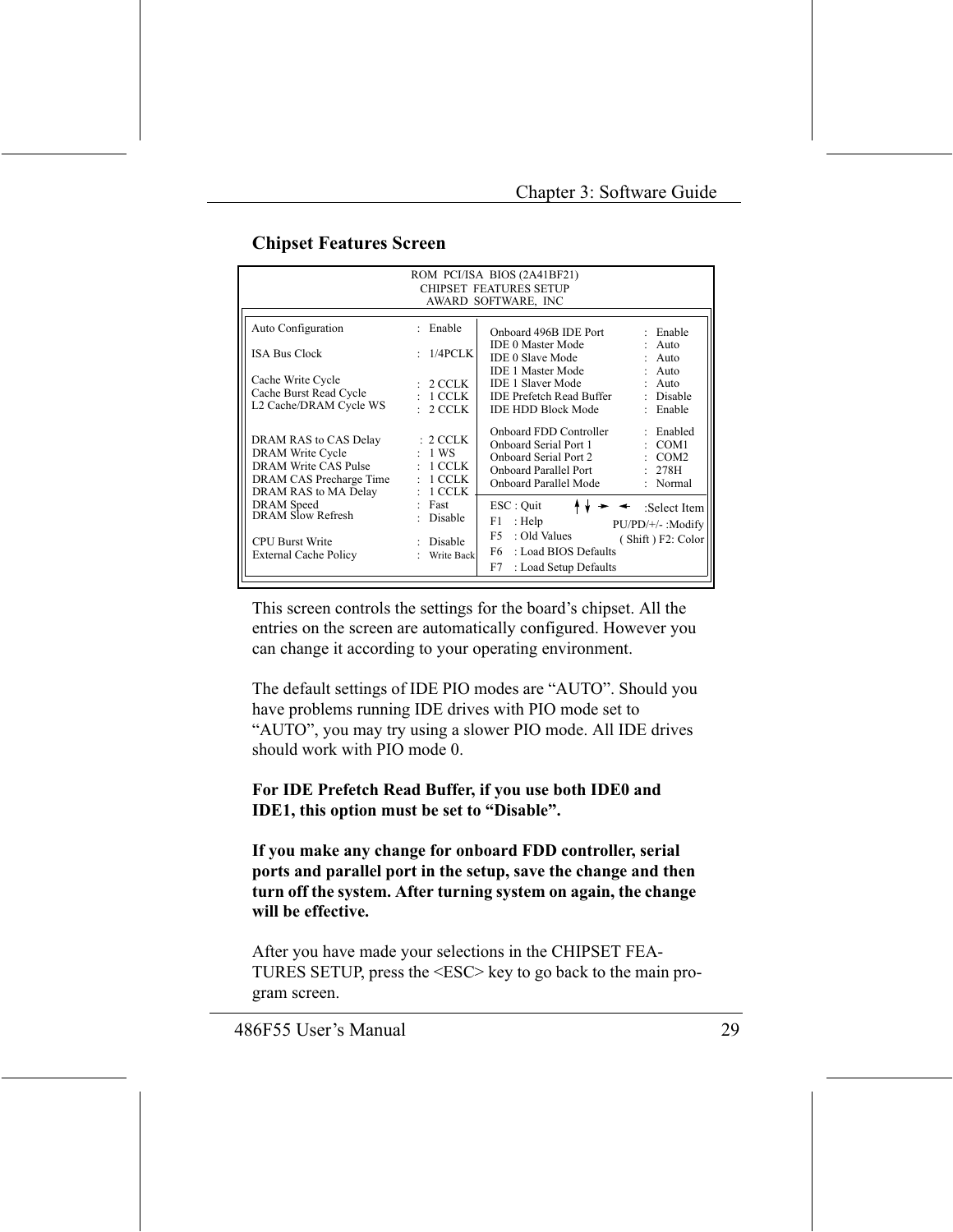| ROM PCI/ISA BIOS (2A41BF21)                                                                                          |                                                                             |                                                                                                                            |                                                          |
|----------------------------------------------------------------------------------------------------------------------|-----------------------------------------------------------------------------|----------------------------------------------------------------------------------------------------------------------------|----------------------------------------------------------|
| <b>CHIPSET FEATURES SETUP</b>                                                                                        |                                                                             |                                                                                                                            |                                                          |
|                                                                                                                      |                                                                             | AWARD SOFTWARE, INC                                                                                                        |                                                          |
| Auto Configuration                                                                                                   | : Enable                                                                    | Onboard 496B IDE Port                                                                                                      | $\cdot$ Enable                                           |
| <b>ISA Bus Clock</b>                                                                                                 | : 1/4PCLK                                                                   | <b>IDE 0 Master Mode</b><br><b>IDE 0 Slave Mode</b>                                                                        | $:$ Auto<br>$:$ Auto                                     |
| Cache Write Cycle<br>Cache Burst Read Cycle<br>L2 Cache/DRAM Cycle WS                                                | : 2 CCLK<br>$:1$ CCLK<br>2 CCLK                                             | IDE 1 Master Mode<br>IDE 1 Slaver Mode<br>IDE Prefetch Read Buffer<br>IDE HDD Block Mode                                   | $:$ Auto<br>$:$ Auto<br>: Disable<br>Enable<br>÷.        |
| DRAM RAS to CAS Delay<br>DRAM Write Cycle<br>DRAM Write CAS Pulse<br>DRAM CAS Precharge Time<br>DRAM RAS to MA Delay | $: 2 \, \text{CCLK}$<br>$:1$ WS<br>$:~1$ CCLK<br>1 CCLK<br>÷<br>1 CCLK<br>÷ | Onboard FDD Controller<br>Onboard Serial Port 1<br>Onboard Serial Port 2<br>Onboard Parallel Port<br>Onboard Parallel Mode | : Enabled<br>: COM1<br>$\sim$ COM2<br>: 278H<br>: Normal |
| <b>DRAM</b> Speed<br>DRAM Slow Refresh                                                                               | Fast<br>÷<br>Disable                                                        | ESC : Quit<br>: Help<br>F1.                                                                                                | :Select Item<br>PU/PD/+/- :Modify                        |
| <b>CPU Burst Write</b><br><b>External Cache Policy</b>                                                               | : Disable<br>Write Back                                                     | : Old Values<br>F5.<br>F6 =<br>: Load BIOS Defaults<br>F7<br>: Load Setup Defaults                                         | (Shift) F2: Color                                        |

This screen controls the settings for the board's chipset. All the entries on the screen are automatically configured. However you can change it according to your operating environment.

The default settings of IDE PIO modes are "AUTO". Should you have problems running IDE drives with PIO mode set to "AUTO", you may try using a slower PIO mode. All IDE drives should work with PIO mode 0

#### For IDE Prefetch Read Buffer, if you use both IDE0 and IDE1, this option must be set to "Disable".

If you make any change for onboard FDD controller, serial ports and parallel port in the setup, save the change and then turn off the system. After turning system on again, the change will be effective.

After you have made your selections in the CHIPSET FEA-TURES SETUP, press the <ESC> key to go back to the main program screen.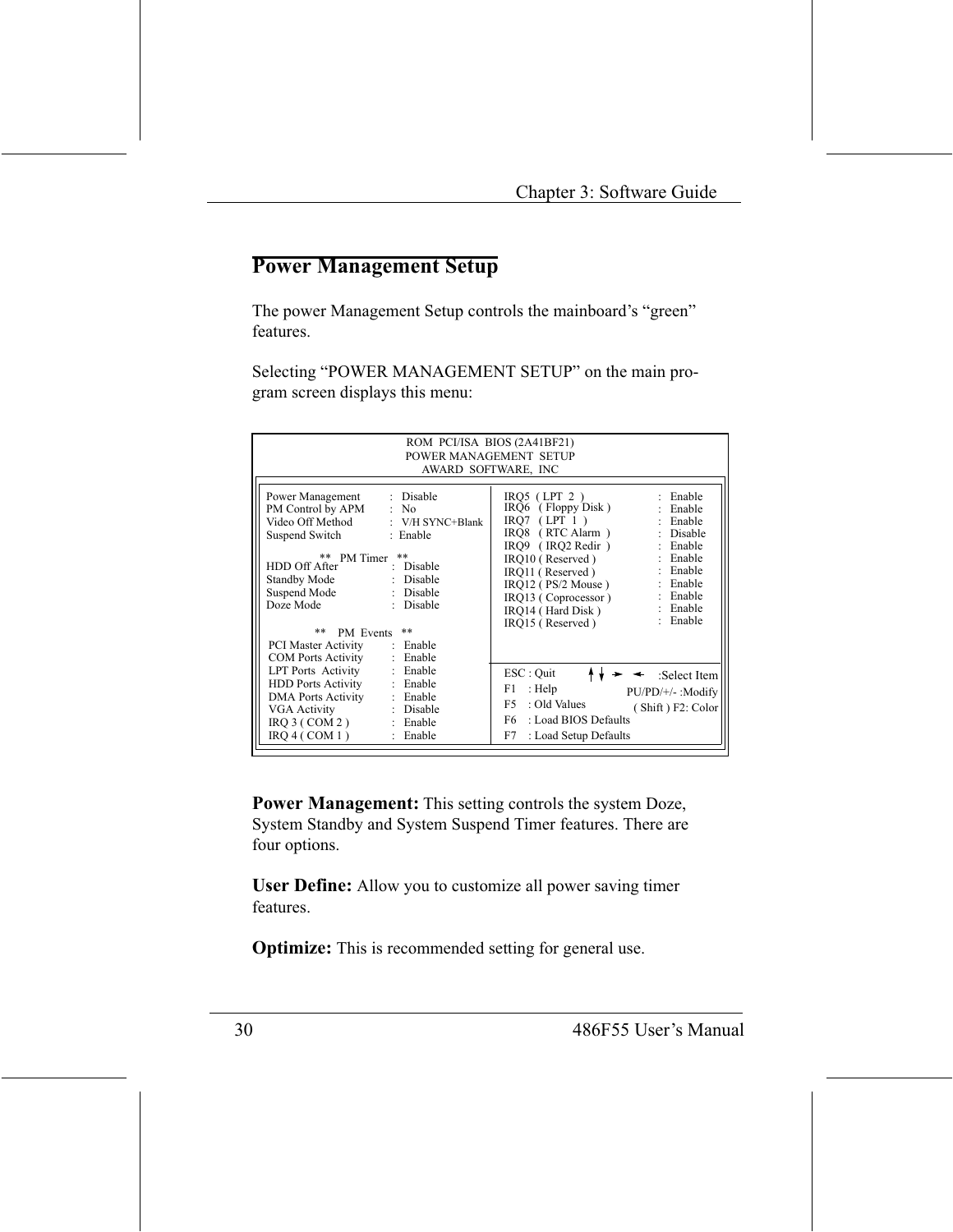#### **Power Management Setup**

The power Management Setup controls the mainboard's "green" features.

Selecting "POWER MANAGEMENT SETUP" on the main program screen displays this menu:

| ROM PCI/ISA BIOS (2A41BF21)<br>POWER MANAGEMENT SETUP<br>AWARD SOFTWARE, INC                                                                                                                                                                                      |                                                                                                                                                                                                                                                                                                                                                  |  |  |
|-------------------------------------------------------------------------------------------------------------------------------------------------------------------------------------------------------------------------------------------------------------------|--------------------------------------------------------------------------------------------------------------------------------------------------------------------------------------------------------------------------------------------------------------------------------------------------------------------------------------------------|--|--|
| Power Management<br>: Disable<br>PM Control by APM : No<br>Video Off Method : V/H SYNC+Blank<br>Suspend Switch : Enable<br>$* *$<br>** PM Timer<br>HDD Off After<br>: Disable<br>Standby Mode<br>: Disable<br>Suspend Mode<br>: Disable<br>Doze Mode<br>: Disable | $IRQ5$ (LPT 2)<br>: Enable<br>$IRQ6$ (Floppy Disk)<br>: Enable<br>$IRO7$ (LPT 1)<br>: Enable<br>IRQ8 (RTC Alarm)<br>: Disable<br>IRO9 (IRO2 Redir)<br>: Enable<br>: Enable<br>IRO10 (Reserved)<br>: Enable<br>IRQ11 (Reserved)<br>: Enable<br>$IRQ12$ (PS/2 Mouse)<br>: Enable<br>IRQ13 (Coprocessor)<br>: Enable<br>IRO14 (Hard Disk)<br>Enable |  |  |
| **<br>**<br>PM Events                                                                                                                                                                                                                                             | IRO15 (Reserved)                                                                                                                                                                                                                                                                                                                                 |  |  |
| PCI Master Activity<br>: Enable<br><b>COM Ports Activity</b><br>: Enable                                                                                                                                                                                          |                                                                                                                                                                                                                                                                                                                                                  |  |  |
| <b>LPT</b> Ports Activity<br>: Enable<br><b>HDD Ports Activity</b><br>: Enable<br><b>DMA</b> Ports Activity<br>: Enable<br>VGA Activity<br>: Disable<br>$IRQ$ 3 (COM 2)<br>: Enable<br>IRO 4 ( COM 1)<br>: Enable                                                 | ESC : Quit<br>:Select Item<br>F1<br>: $Help$<br>PU/PD/+/- :Modify<br>F <sub>5</sub><br>: Old Values<br>(Shift) F2: Color<br>F6 =<br>: Load BIOS Defaults<br>F7<br>: Load Setup Defaults                                                                                                                                                          |  |  |

**Power Management:** This setting controls the system Doze, System Standby and System Suspend Timer features. There are four options.

**User Define:** Allow you to customize all power saving timer features.

**Optimize:** This is recommended setting for general use.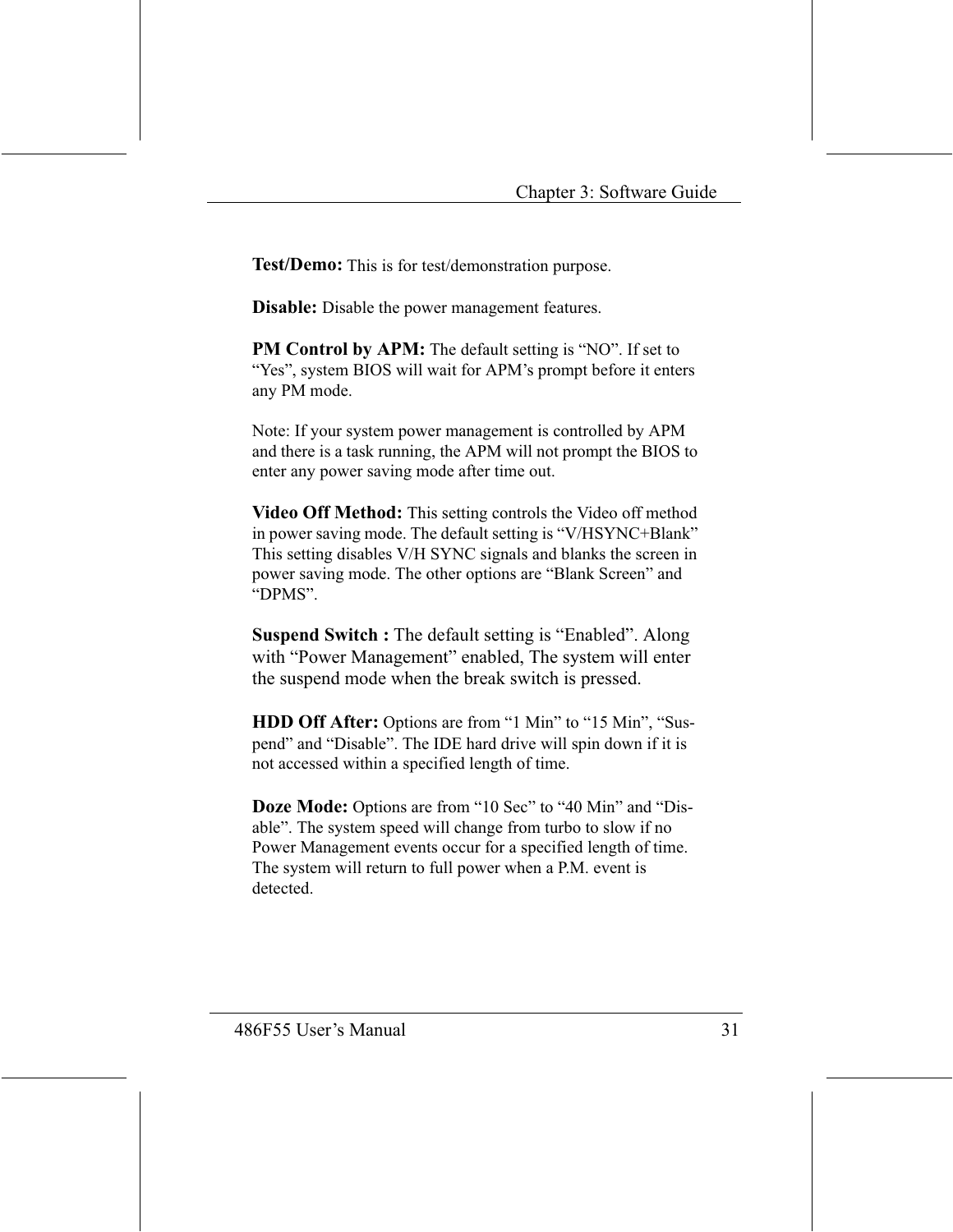Test/Demo: This is for test/demonstration purpose.

**Disable:** Disable the power management features.

**PM Control by APM:** The default setting is "NO". If set to "Yes", system BIOS will wait for APM's prompt before it enters any PM mode.

Note: If your system power management is controlled by APM and there is a task running, the APM will not prompt the BIOS to enter any power saving mode after time out.

Video Off Method: This setting controls the Video off method in power saving mode. The default setting is "V/HSYNC+Blank" This setting disables V/H SYNC signals and blanks the screen in power saving mode. The other options are "Blank Screen" and "DPMS".

**Suspend Switch :** The default setting is "Enabled". Along with "Power Management" enabled, The system will enter the suspend mode when the break switch is pressed.

**HDD Off After:** Options are from "1 Min" to "15 Min", "Suspend" and "Disable". The IDE hard drive will spin down if it is not accessed within a specified length of time.

Doze Mode: Options are from "10 Sec" to "40 Min" and "Disable". The system speed will change from turbo to slow if no Power Management events occur for a specified length of time. The system will return to full power when a P.M. event is detected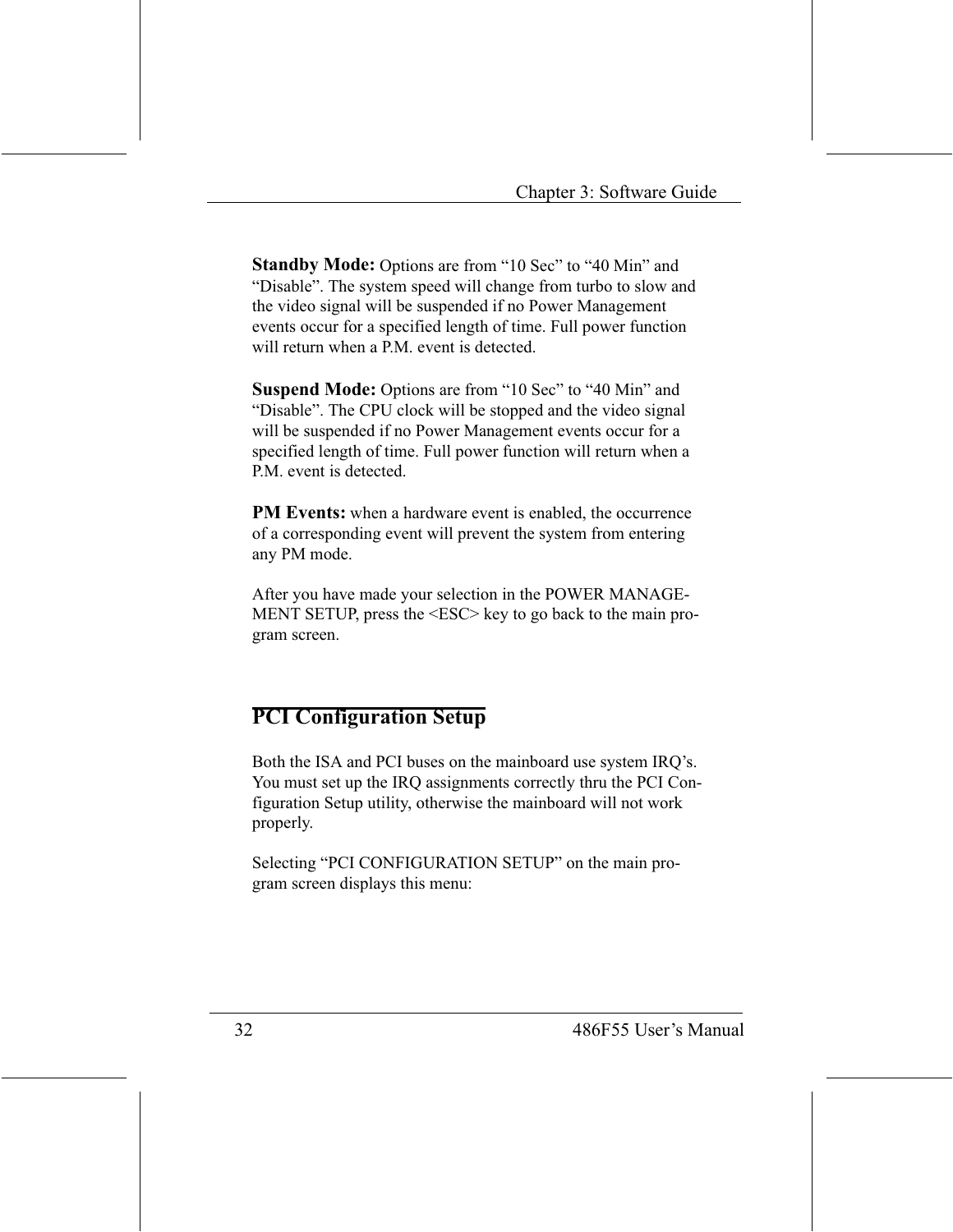**Standby Mode:** Options are from "10 Sec" to "40 Min" and "Disable". The system speed will change from turbo to slow and the video signal will be suspended if no Power Management events occur for a specified length of time. Full power function will return when a P.M. event is detected.

**Suspend Mode:** Options are from "10 Sec" to "40 Min" and "Disable". The CPU clock will be stopped and the video signal will be suspended if no Power Management events occur for a specified length of time. Full power function will return when a P.M. event is detected.

**PM Events:** when a hardware event is enabled, the occurrence of a corresponding event will prevent the system from entering any PM mode.

After you have made your selection in the POWER MANAGE-MENT SETUP, press the <ESC> key to go back to the main program screen.

#### **PCI Configuration Setup**

Both the ISA and PCI buses on the mainboard use system IRQ's. You must set up the IRQ assignments correctly thru the PCI Configuration Setup utility, otherwise the mainboard will not work properly.

Selecting "PCI CONFIGURATION SETUP" on the main program screen displays this menu: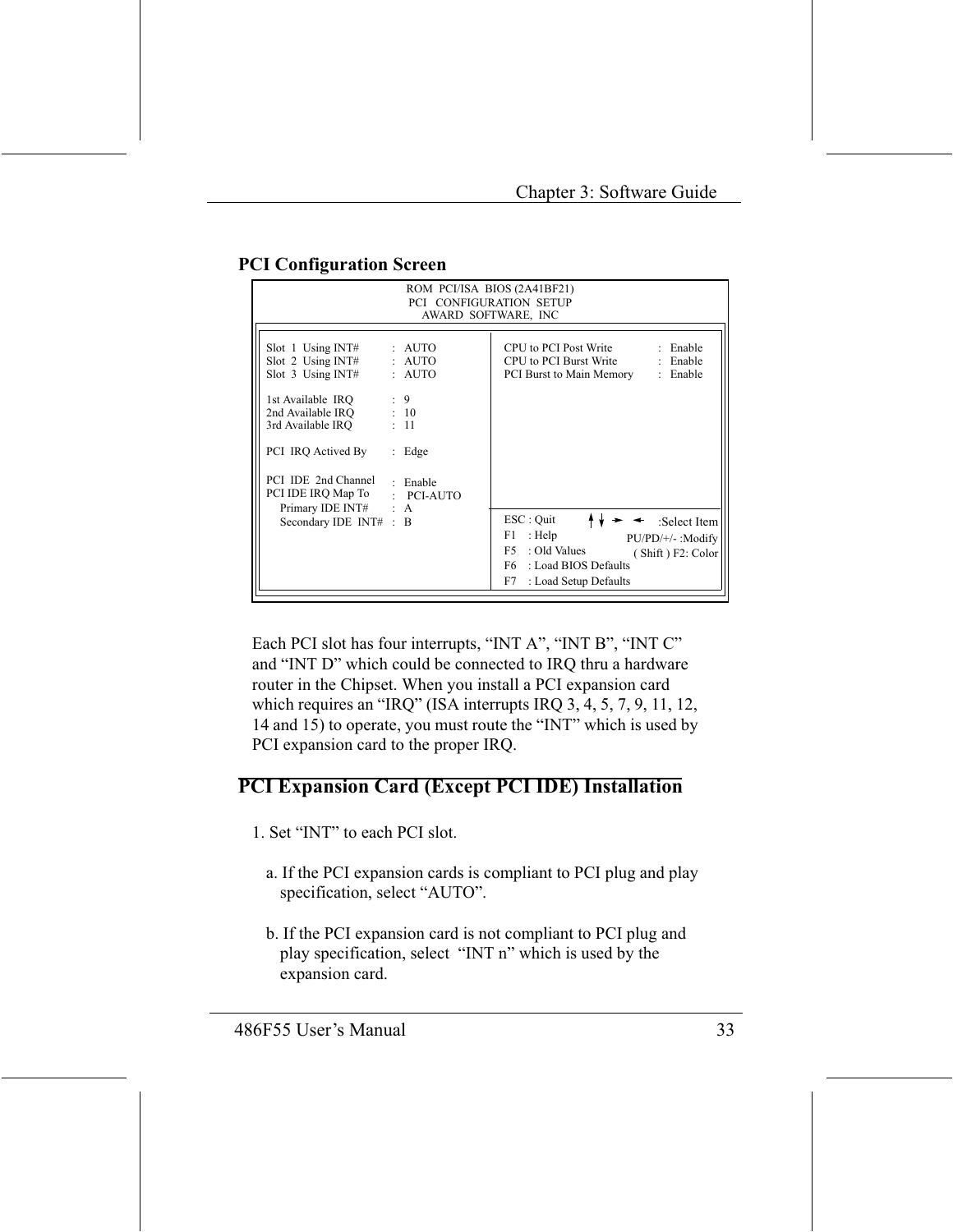| ROM PCI/ISA BIOS (2A41BF21)                                                                                       |                              |                                                                                                                                                                                |  |
|-------------------------------------------------------------------------------------------------------------------|------------------------------|--------------------------------------------------------------------------------------------------------------------------------------------------------------------------------|--|
| PCI CONFIGURATION SETUP                                                                                           |                              |                                                                                                                                                                                |  |
|                                                                                                                   | AWARD SOFTWARE, INC          |                                                                                                                                                                                |  |
| Slot 1 Using INT#<br>Slot 2 Using INT# : AUTO<br>Slot $3$ Using INT#                                              | : AUTO<br>: AUTO             | CPU to PCI Post Write<br>: Enable<br>CPU to PCI Burst Write<br>: Enable<br>PCI Burst to Main Memory<br>: Enable                                                                |  |
| 1st Available IRQ : 9<br>2nd Available IRQ : 10<br>3rd Available IRO<br>PCI IRO Actived By<br>PCI IDE 2nd Channel | : 11<br>$:$ Edge<br>: Enable |                                                                                                                                                                                |  |
| PCI IDE IRQ Map To : PCI-AUTO<br>Primary IDE INT# : A<br>Secondary IDE INT# : B                                   |                              | ESC : Quit<br>:Select Item<br>: Help<br>F1.<br>$PU/PD/+/-$ : Modify<br>F5.<br>: Old Values<br>(Shift) F2: Color<br>: Load BIOS Defaults<br>F6 =<br>: Load Setup Defaults<br>F7 |  |

#### **PCI Configuration Screen**

Each PCI slot has four interrupts, "INT A", "INT B", "INT C" and "INT D" which could be connected to IRQ thru a hardware router in the Chipset. When you install a PCI expansion card which requires an "IRQ" (ISA interrupts IRQ 3, 4, 5, 7, 9, 11, 12, 14 and 15) to operate, you must route the "INT" which is used by PCI expansion card to the proper IRQ.

#### **PCI Expansion Card (Except PCI IDE) Installation**

- 1. Set "INT" to each PCI slot.
	- a. If the PCI expansion cards is compliant to PCI plug and play specification, select "AUTO".
	- b. If the PCI expansion card is not compliant to PCI plug and play specification, select "INT n" which is used by the expansion card.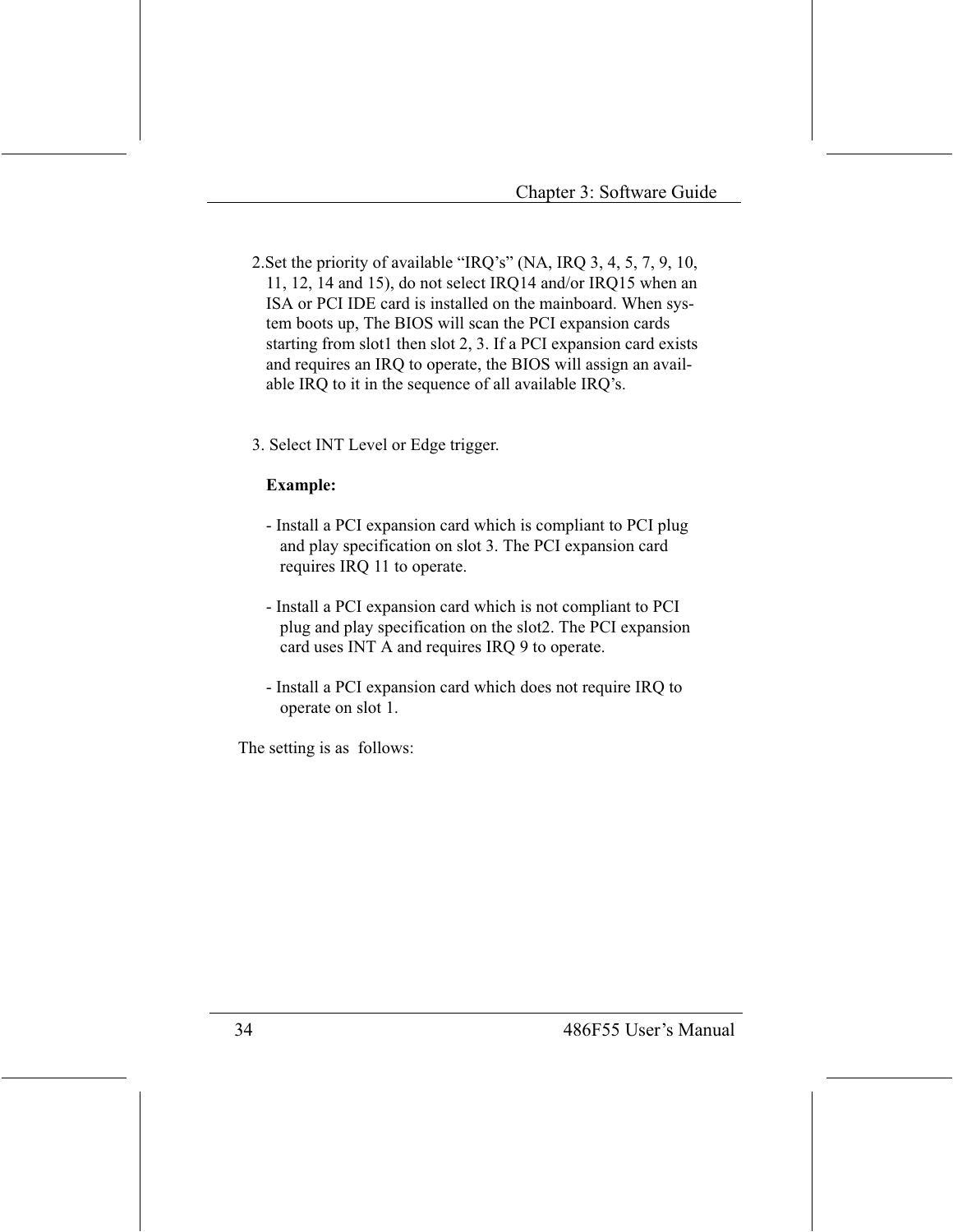- 2. Set the priority of available "IRQ's" (NA, IRQ 3, 4, 5, 7, 9, 10, 11, 12, 14 and 15), do not select IRO14 and/or IRO15 when an ISA or PCI IDE card is installed on the mainboard. When system boots up, The BIOS will scan the PCI expansion cards starting from slot1 then slot 2, 3. If a PCI expansion card exists and requires an IRQ to operate, the BIOS will assign an available IRQ to it in the sequence of all available IRQ's.
- 3. Select INT Level or Edge trigger.

#### **Example:**

- Install a PCI expansion card which is compliant to PCI plug and play specification on slot 3. The PCI expansion card requires IRQ 11 to operate.
- Install a PCI expansion card which is not compliant to PCI plug and play specification on the slot2. The PCI expansion card uses INT A and requires IRQ 9 to operate.
- Install a PCI expansion card which does not require IRQ to operate on slot 1.

The setting is as follows: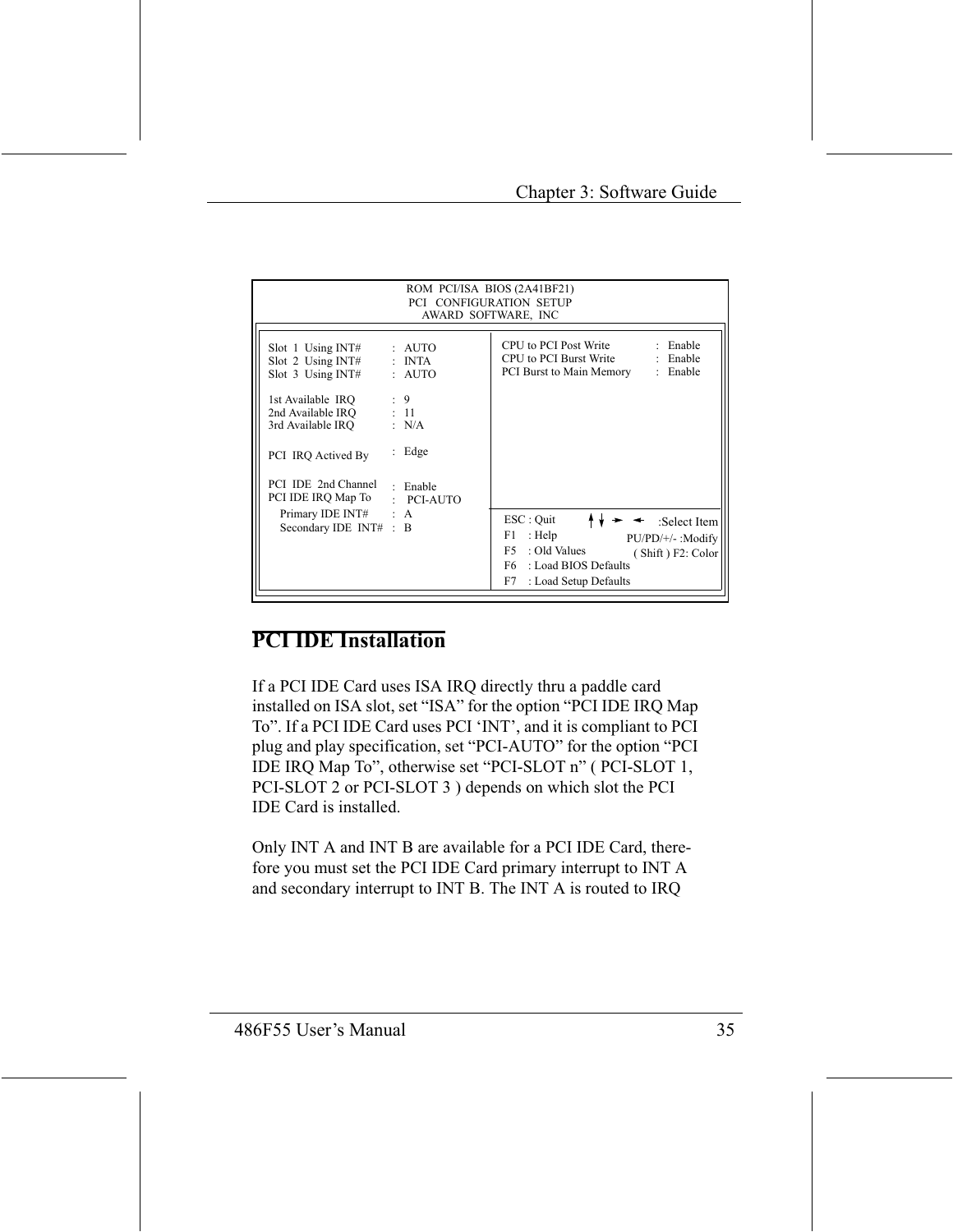| ROM PCI/ISA BIOS (2A41BF21)<br><b>PCI CONFIGURATION SETUP</b><br>AWARD SOFTWARE, INC                          |                                           |                                                                                                                                                                             |  |
|---------------------------------------------------------------------------------------------------------------|-------------------------------------------|-----------------------------------------------------------------------------------------------------------------------------------------------------------------------------|--|
| Slot 1 Using INT#<br>Slot 2 Using INT#<br>Slot $3$ Using INT#                                                 | : AUTO<br>$: \; \; \text{INTA}$<br>: AUTO | CPU to PCI Post Write<br>: Enable<br>CPU to PCI Burst Write<br>: Enable<br>PCI Burst to Main Memory<br>: Enable                                                             |  |
| 1st Available IRO<br>2nd Available IRQ : 11<br>3rd Available IRQ<br>PCI IRO Actived By<br>PCI IDE 2nd Channel | : 9<br>: N/A<br>$:$ Edge<br>: Enable      |                                                                                                                                                                             |  |
| PCI IDE IRQ Map To<br>Primary IDE INT# : A<br>Secondary IDE INT# : B                                          | $\therefore$ PCI-AUTO                     | ESC : Quit<br>:Select Item<br>: Help<br>F1<br>$PU/PD/+/-$ : Modify<br>: Old Values<br>F5.<br>(Shift) F2: Color<br>: Load BIOS Defaults<br>F6<br>F7<br>: Load Setup Defaults |  |

#### **PCI IDE Installation**

If a PCI IDE Card uses ISA IRQ directly thru a paddle card installed on ISA slot, set "ISA" for the option "PCI IDE IRQ Map To". If a PCI IDE Card uses PCI 'INT', and it is compliant to PCI plug and play specification, set "PCI-AUTO" for the option "PCI IDE IRQ Map To", otherwise set "PCI-SLOT n" (PCI-SLOT 1, PCI-SLOT 2 or PCI-SLOT 3) depends on which slot the PCI **IDE** Card is installed.

Only INT A and INT B are available for a PCI IDE Card, therefore you must set the PCI IDE Card primary interrupt to INT A and secondary interrupt to INT B. The INT A is routed to IRQ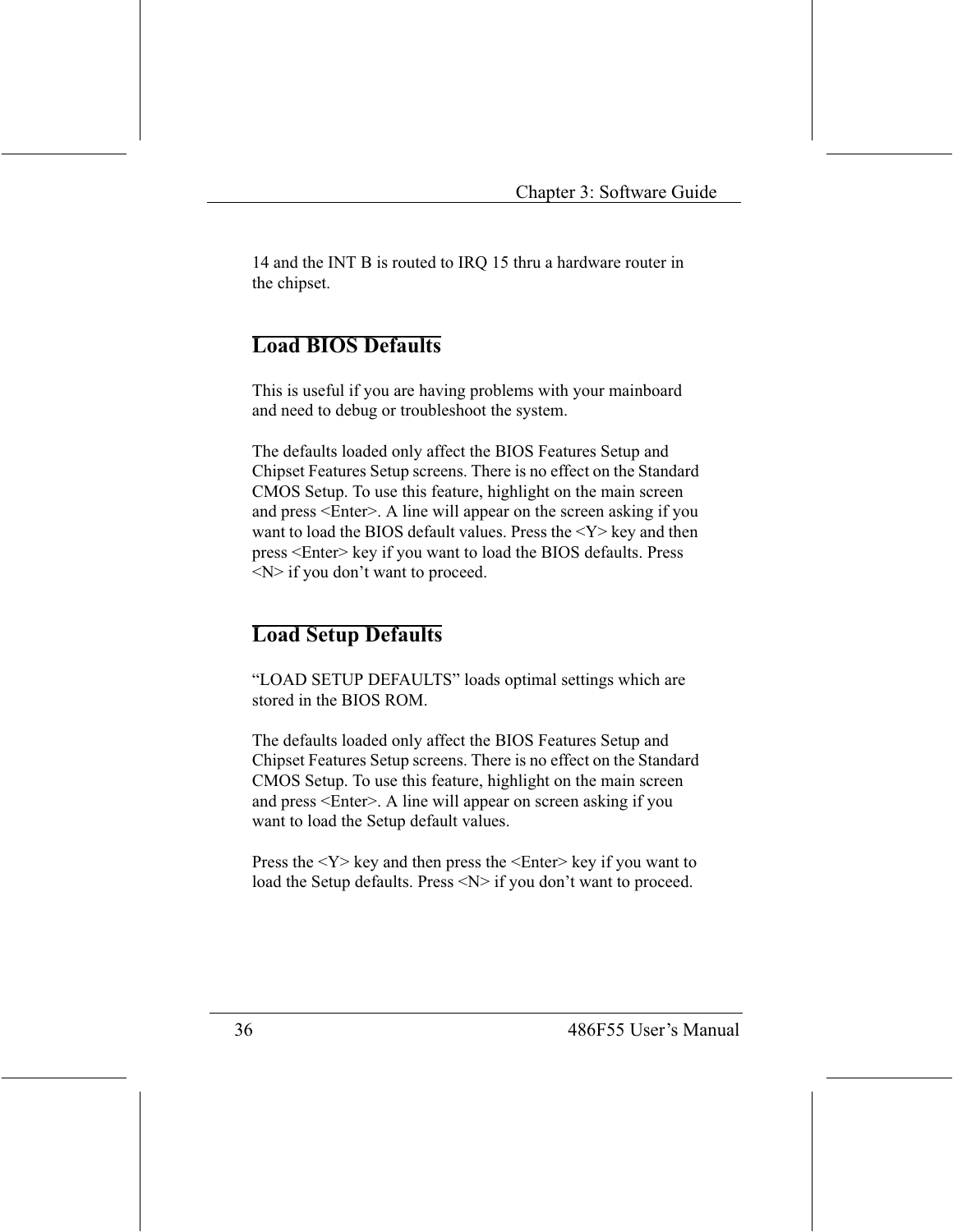14 and the INT B is routed to IRQ 15 thru a hardware router in the chipset.

#### **Load BIOS Defaults**

This is useful if you are having problems with your mainboard and need to debug or troubleshoot the system.

The defaults loaded only affect the BIOS Features Setup and Chipset Features Setup screens. There is no effect on the Standard CMOS Setup. To use this feature, highlight on the main screen and press <Enter>. A line will appear on the screen asking if you want to load the BIOS default values. Press the  $<$ Y $>$  key and then press <Enter> key if you want to load the BIOS defaults. Press  $\langle N \rangle$  if you don't want to proceed.

#### **Load Setup Defaults**

"LOAD SETUP DEFAULTS" loads optimal settings which are stored in the BIOS ROM.

The defaults loaded only affect the BIOS Features Setup and Chipset Features Setup screens. There is no effect on the Standard CMOS Setup. To use this feature, highlight on the main screen and press <Enter>. A line will appear on screen asking if you want to load the Setup default values.

Press the  $\langle Y \rangle$  key and then press the  $\langle$ Enter $\rangle$  key if you want to load the Setup defaults. Press <N> if you don't want to proceed.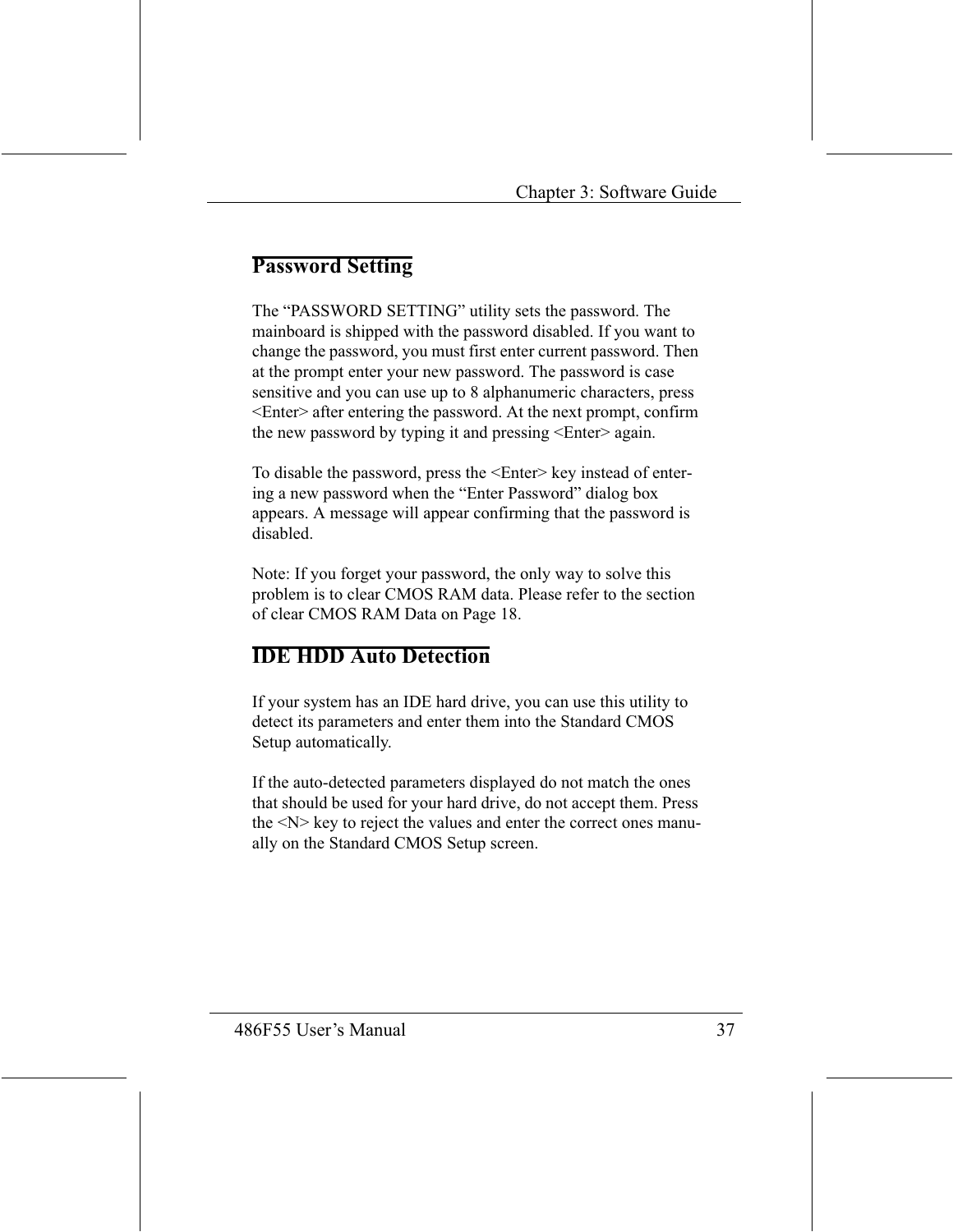#### **Password Setting**

The "PASSWORD SETTING" utility sets the password. The mainboard is shipped with the password disabled. If you want to change the password, you must first enter current password. Then at the prompt enter your new password. The password is case sensitive and you can use up to 8 alphanumeric characters, press <Enter> after entering the password. At the next prompt, confirm the new password by typing it and pressing <Enter>again.

To disable the password, press the <Enter> key instead of entering a new password when the "Enter Password" dialog box appears. A message will appear confirming that the password is disabled

Note: If you forget your password, the only way to solve this problem is to clear CMOS RAM data. Please refer to the section of clear CMOS RAM Data on Page 18.

#### **IDE HDD Auto Detection**

If your system has an IDE hard drive, you can use this utility to detect its parameters and enter them into the Standard CMOS Setup automatically.

If the auto-detected parameters displayed do not match the ones that should be used for your hard drive, do not accept them. Press the <N> key to reject the values and enter the correct ones manually on the Standard CMOS Setup screen.